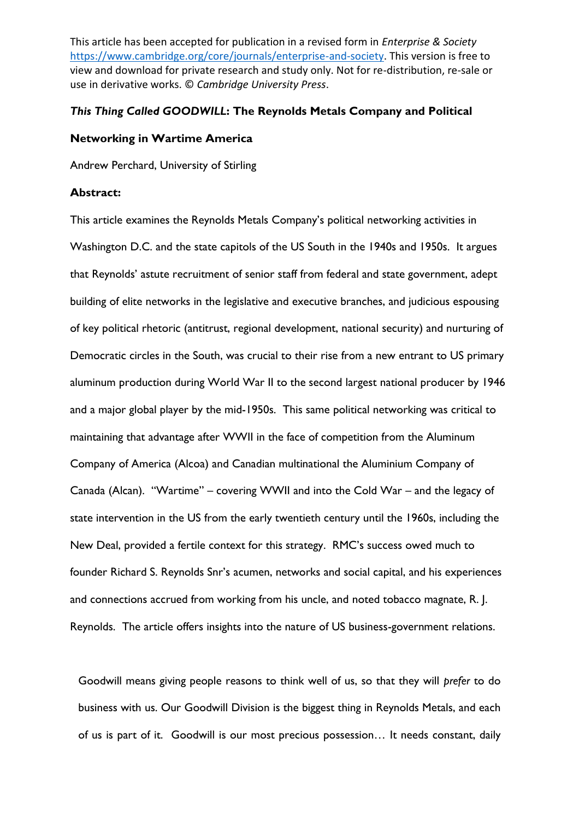This article has been accepted for publication in a revised form in *Enterprise & Society* [https://www.cambridge.org/core/journals/enterprise-and-society.](https://www.cambridge.org/core/journals/enterprise-and-society) This version is free to view and download for private research and study only. Not for re-distribution, re-sale or use in derivative works. © *Cambridge University Press*.

# *This Thing Called GOODWILL***: The Reynolds Metals Company and Political**

### **Networking in Wartime America**

Andrew Perchard, University of Stirling

## **Abstract:**

This article examines the Reynolds Metals Company's political networking activities in Washington D.C. and the state capitols of the US South in the 1940s and 1950s. It argues that Reynolds' astute recruitment of senior staff from federal and state government, adept building of elite networks in the legislative and executive branches, and judicious espousing of key political rhetoric (antitrust, regional development, national security) and nurturing of Democratic circles in the South, was crucial to their rise from a new entrant to US primary aluminum production during World War II to the second largest national producer by 1946 and a major global player by the mid-1950s. This same political networking was critical to maintaining that advantage after WWII in the face of competition from the Aluminum Company of America (Alcoa) and Canadian multinational the Aluminium Company of Canada (Alcan). "Wartime" – covering WWII and into the Cold War – and the legacy of state intervention in the US from the early twentieth century until the 1960s, including the New Deal, provided a fertile context for this strategy. RMC's success owed much to founder Richard S. Reynolds Snr's acumen, networks and social capital, and his experiences and connections accrued from working from his uncle, and noted tobacco magnate, R. J. Reynolds. The article offers insights into the nature of US business-government relations.

Goodwill means giving people reasons to think well of us, so that they will *prefer* to do business with us. Our Goodwill Division is the biggest thing in Reynolds Metals, and each of us is part of it. Goodwill is our most precious possession… It needs constant, daily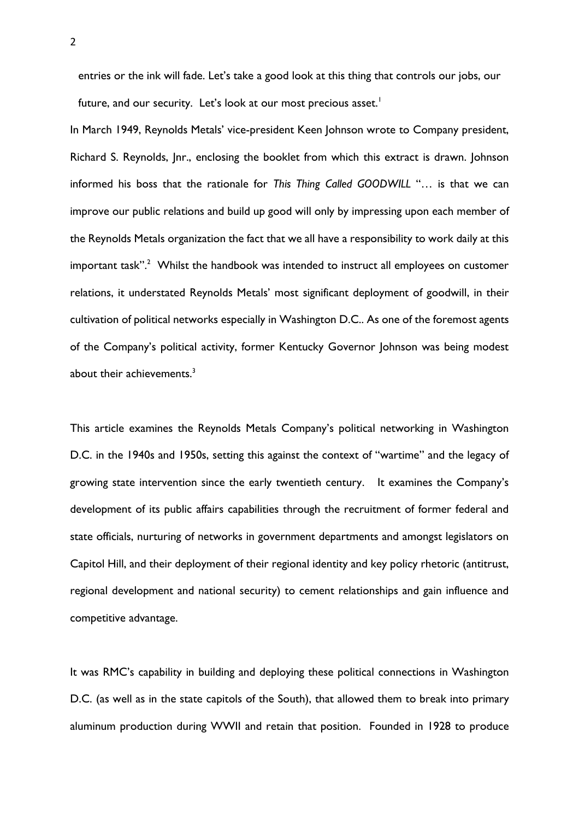entries or the ink will fade. Let's take a good look at this thing that controls our jobs, our future, and our security. Let's look at our most precious asset.<sup>1</sup>

In March 1949, Reynolds Metals' vice-president Keen Johnson wrote to Company president, Richard S. Reynolds, Jnr., enclosing the booklet from which this extract is drawn. Johnson informed his boss that the rationale for *This Thing Called GOODWILL* "… is that we can improve our public relations and build up good will only by impressing upon each member of the Reynolds Metals organization the fact that we all have a responsibility to work daily at this important task". $2$  Whilst the handbook was intended to instruct all employees on customer relations, it understated Reynolds Metals' most significant deployment of goodwill, in their cultivation of political networks especially in Washington D.C.. As one of the foremost agents of the Company's political activity, former Kentucky Governor Johnson was being modest about their achievements. $^3$ 

This article examines the Reynolds Metals Company's political networking in Washington D.C. in the 1940s and 1950s, setting this against the context of "wartime" and the legacy of growing state intervention since the early twentieth century. It examines the Company's development of its public affairs capabilities through the recruitment of former federal and state officials, nurturing of networks in government departments and amongst legislators on Capitol Hill, and their deployment of their regional identity and key policy rhetoric (antitrust, regional development and national security) to cement relationships and gain influence and competitive advantage.

It was RMC's capability in building and deploying these political connections in Washington D.C. (as well as in the state capitols of the South), that allowed them to break into primary aluminum production during WWII and retain that position. Founded in 1928 to produce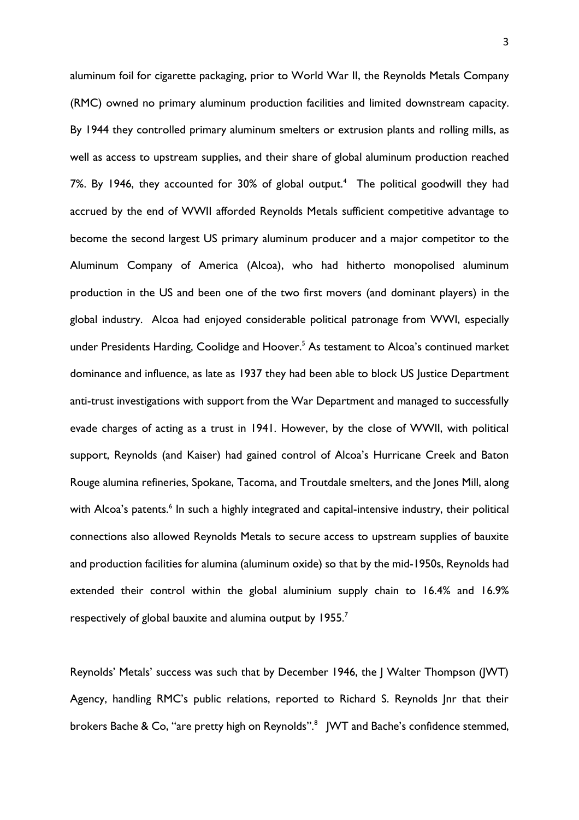aluminum foil for cigarette packaging, prior to World War II, the Reynolds Metals Company (RMC) owned no primary aluminum production facilities and limited downstream capacity. By 1944 they controlled primary aluminum smelters or extrusion plants and rolling mills, as well as access to upstream supplies, and their share of global aluminum production reached 7%. By 1946, they accounted for 30% of global output. 4 The political goodwill they had accrued by the end of WWII afforded Reynolds Metals sufficient competitive advantage to become the second largest US primary aluminum producer and a major competitor to the Aluminum Company of America (Alcoa), who had hitherto monopolised aluminum production in the US and been one of the two first movers (and dominant players) in the global industry. Alcoa had enjoyed considerable political patronage from WWI, especially under Presidents Harding, Coolidge and Hoover.<sup>5</sup> As testament to Alcoa's continued market dominance and influence, as late as 1937 they had been able to block US Justice Department anti-trust investigations with support from the War Department and managed to successfully evade charges of acting as a trust in 1941. However, by the close of WWII, with political support, Reynolds (and Kaiser) had gained control of Alcoa's Hurricane Creek and Baton Rouge alumina refineries, Spokane, Tacoma, and Troutdale smelters, and the Jones Mill, along with Alcoa's patents.<sup>6</sup> In such a highly integrated and capital-intensive industry, their political connections also allowed Reynolds Metals to secure access to upstream supplies of bauxite and production facilities for alumina (aluminum oxide) so that by the mid-1950s, Reynolds had extended their control within the global aluminium supply chain to 16.4% and 16.9% respectively of global bauxite and alumina output by 1955.<sup>7</sup>

Reynolds' Metals' success was such that by December 1946, the J Walter Thompson (JWT) Agency, handling RMC's public relations, reported to Richard S. Reynolds Jnr that their brokers Bache & Co, "are pretty high on Reynolds".<sup>8</sup> JWT and Bache's confidence stemmed,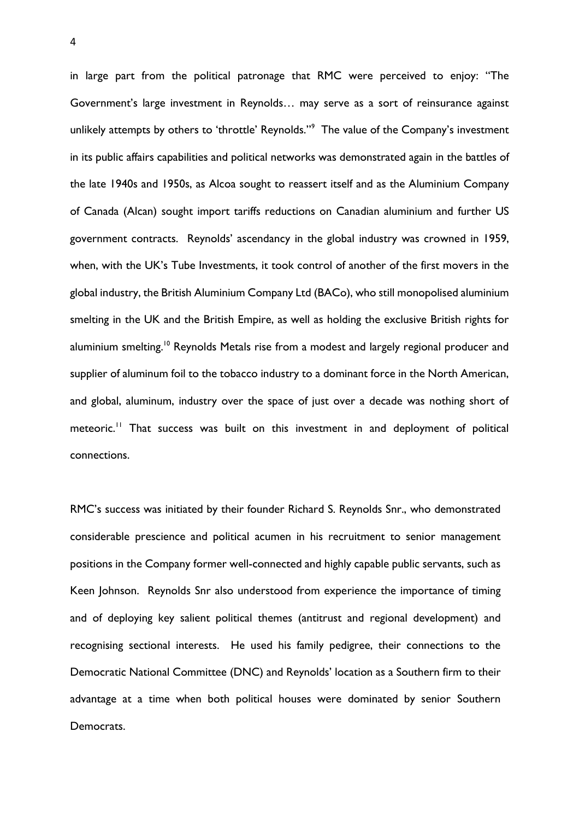in large part from the political patronage that RMC were perceived to enjoy: "The Government's large investment in Reynolds… may serve as a sort of reinsurance against unlikely attempts by others to 'throttle' Reynolds.''<sup>9</sup> The value of the Company's investment in its public affairs capabilities and political networks was demonstrated again in the battles of the late 1940s and 1950s, as Alcoa sought to reassert itself and as the Aluminium Company of Canada (Alcan) sought import tariffs reductions on Canadian aluminium and further US government contracts. Reynolds' ascendancy in the global industry was crowned in 1959, when, with the UK's Tube Investments, it took control of another of the first movers in the global industry, the British Aluminium Company Ltd (BACo), who still monopolised aluminium smelting in the UK and the British Empire, as well as holding the exclusive British rights for aluminium smelting.<sup>10</sup> Reynolds Metals rise from a modest and largely regional producer and supplier of aluminum foil to the tobacco industry to a dominant force in the North American, and global, aluminum, industry over the space of just over a decade was nothing short of meteoric.<sup>11</sup> That success was built on this investment in and deployment of political connections.

RMC's success was initiated by their founder Richard S. Reynolds Snr., who demonstrated considerable prescience and political acumen in his recruitment to senior management positions in the Company former well-connected and highly capable public servants, such as Keen Johnson. Reynolds Snr also understood from experience the importance of timing and of deploying key salient political themes (antitrust and regional development) and recognising sectional interests. He used his family pedigree, their connections to the Democratic National Committee (DNC) and Reynolds' location as a Southern firm to their advantage at a time when both political houses were dominated by senior Southern Democrats.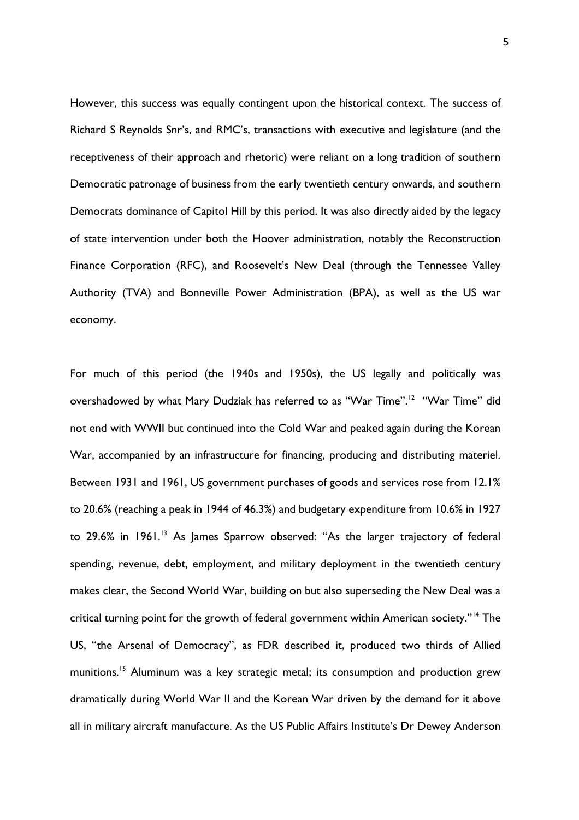However, this success was equally contingent upon the historical context. The success of Richard S Reynolds Snr's, and RMC's, transactions with executive and legislature (and the receptiveness of their approach and rhetoric) were reliant on a long tradition of southern Democratic patronage of business from the early twentieth century onwards, and southern Democrats dominance of Capitol Hill by this period. It was also directly aided by the legacy of state intervention under both the Hoover administration, notably the Reconstruction Finance Corporation (RFC), and Roosevelt's New Deal (through the Tennessee Valley Authority (TVA) and Bonneville Power Administration (BPA), as well as the US war economy.

For much of this period (the 1940s and 1950s), the US legally and politically was overshadowed by what Mary Dudziak has referred to as ''War Time''.<sup>12</sup> ''War Time'' did not end with WWII but continued into the Cold War and peaked again during the Korean War, accompanied by an infrastructure for financing, producing and distributing materiel. Between 1931 and 1961, US government purchases of goods and services rose from 12.1% to 20.6% (reaching a peak in 1944 of 46.3%) and budgetary expenditure from 10.6% in 1927 to 29.6% in 1961.<sup>13</sup> As James Sparrow observed: "As the larger trajectory of federal spending, revenue, debt, employment, and military deployment in the twentieth century makes clear, the Second World War, building on but also superseding the New Deal was a critical turning point for the growth of federal government within American society."<sup>14</sup> The US, "the Arsenal of Democracy", as FDR described it, produced two thirds of Allied munitions.<sup>15</sup> Aluminum was a key strategic metal; its consumption and production grew dramatically during World War II and the Korean War driven by the demand for it above all in military aircraft manufacture. As the US Public Affairs Institute's Dr Dewey Anderson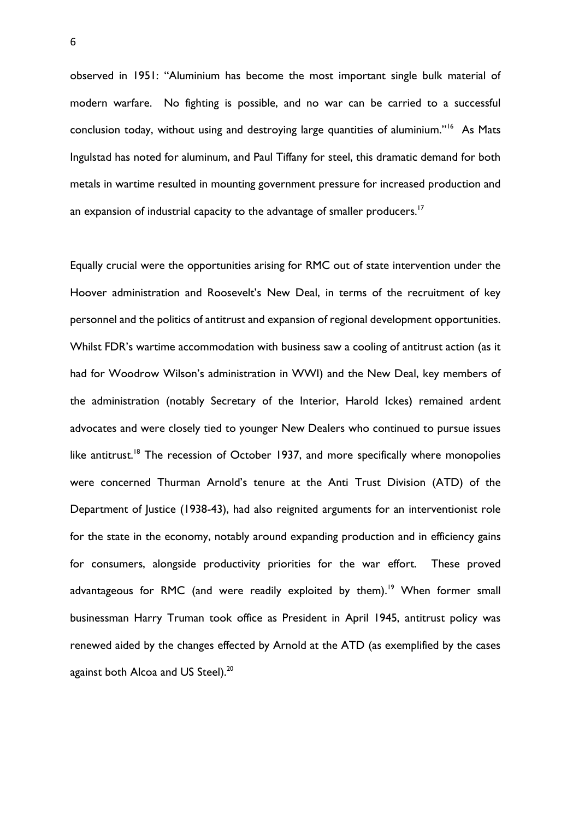observed in 1951: "Aluminium has become the most important single bulk material of modern warfare. No fighting is possible, and no war can be carried to a successful conclusion today, without using and destroying large quantities of aluminium."<sup>16</sup> As Mats Ingulstad has noted for aluminum, and Paul Tiffany for steel, this dramatic demand for both metals in wartime resulted in mounting government pressure for increased production and an expansion of industrial capacity to the advantage of smaller producers.<sup>17</sup>

Equally crucial were the opportunities arising for RMC out of state intervention under the Hoover administration and Roosevelt's New Deal, in terms of the recruitment of key personnel and the politics of antitrust and expansion of regional development opportunities. Whilst FDR's wartime accommodation with business saw a cooling of antitrust action (as it had for Woodrow Wilson's administration in WWI) and the New Deal, key members of the administration (notably Secretary of the Interior, Harold Ickes) remained ardent advocates and were closely tied to younger New Dealers who continued to pursue issues like antitrust.<sup>18</sup> The recession of October 1937, and more specifically where monopolies were concerned Thurman Arnold's tenure at the Anti Trust Division (ATD) of the Department of Justice (1938-43), had also reignited arguments for an interventionist role for the state in the economy, notably around expanding production and in efficiency gains for consumers, alongside productivity priorities for the war effort. These proved advantageous for RMC (and were readily exploited by them).<sup>19</sup> When former small businessman Harry Truman took office as President in April 1945, antitrust policy was renewed aided by the changes effected by Arnold at the ATD (as exemplified by the cases against both Alcoa and US Steel).<sup>20</sup>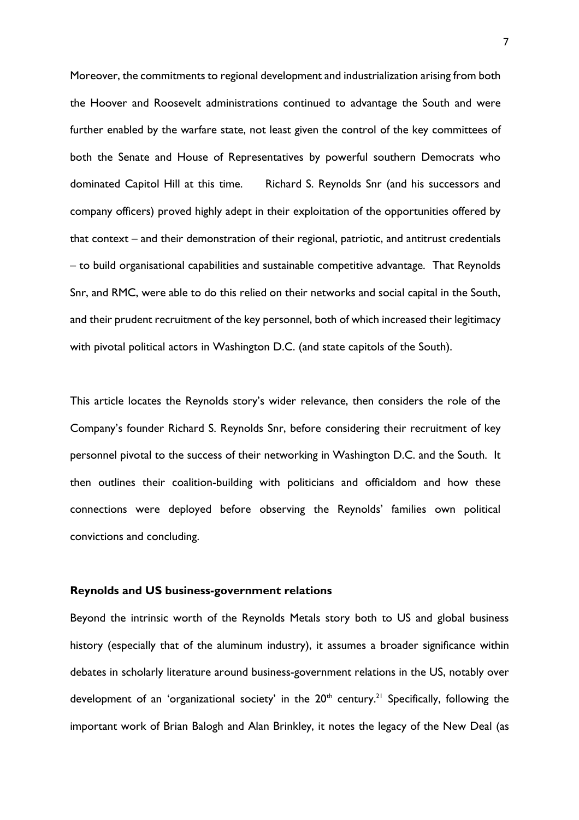Moreover, the commitments to regional development and industrialization arising from both the Hoover and Roosevelt administrations continued to advantage the South and were further enabled by the warfare state, not least given the control of the key committees of both the Senate and House of Representatives by powerful southern Democrats who dominated Capitol Hill at this time. Richard S. Reynolds Snr (and his successors and company officers) proved highly adept in their exploitation of the opportunities offered by that context – and their demonstration of their regional, patriotic, and antitrust credentials – to build organisational capabilities and sustainable competitive advantage. That Reynolds Snr, and RMC, were able to do this relied on their networks and social capital in the South, and their prudent recruitment of the key personnel, both of which increased their legitimacy with pivotal political actors in Washington D.C. (and state capitols of the South).

This article locates the Reynolds story's wider relevance, then considers the role of the Company's founder Richard S. Reynolds Snr, before considering their recruitment of key personnel pivotal to the success of their networking in Washington D.C. and the South. It then outlines their coalition-building with politicians and officialdom and how these connections were deployed before observing the Reynolds' families own political convictions and concluding.

### **Reynolds and US business-government relations**

Beyond the intrinsic worth of the Reynolds Metals story both to US and global business history (especially that of the aluminum industry), it assumes a broader significance within debates in scholarly literature around business-government relations in the US, notably over development of an 'organizational society' in the  $20<sup>th</sup>$  century.<sup>21</sup> Specifically, following the important work of Brian Balogh and Alan Brinkley, it notes the legacy of the New Deal (as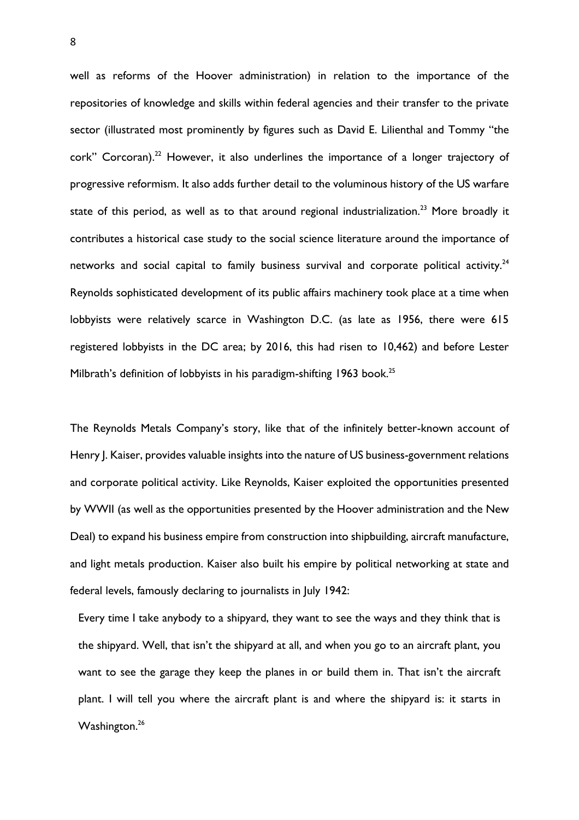well as reforms of the Hoover administration) in relation to the importance of the repositories of knowledge and skills within federal agencies and their transfer to the private sector (illustrated most prominently by figures such as David E. Lilienthal and Tommy "the cork" Corcoran).<sup>22</sup> However, it also underlines the importance of a longer trajectory of progressive reformism. It also adds further detail to the voluminous history of the US warfare state of this period, as well as to that around regional industrialization.<sup>23</sup> More broadly it contributes a historical case study to the social science literature around the importance of networks and social capital to family business survival and corporate political activity. $^{24}$ Reynolds sophisticated development of its public affairs machinery took place at a time when lobbyists were relatively scarce in Washington D.C. (as late as 1956, there were 615 registered lobbyists in the DC area; by 2016, this had risen to 10,462) and before Lester Milbrath's definition of lobbyists in his paradigm-shifting 1963 book. $^{25}$ 

The Reynolds Metals Company's story, like that of the infinitely better-known account of Henry J. Kaiser, provides valuable insights into the nature of US business-government relations and corporate political activity. Like Reynolds, Kaiser exploited the opportunities presented by WWII (as well as the opportunities presented by the Hoover administration and the New Deal) to expand his business empire from construction into shipbuilding, aircraft manufacture, and light metals production. Kaiser also built his empire by political networking at state and federal levels, famously declaring to journalists in July 1942:

Every time I take anybody to a shipyard, they want to see the ways and they think that is the shipyard. Well, that isn't the shipyard at all, and when you go to an aircraft plant, you want to see the garage they keep the planes in or build them in. That isn't the aircraft plant. I will tell you where the aircraft plant is and where the shipyard is: it starts in Washington.<sup>26</sup>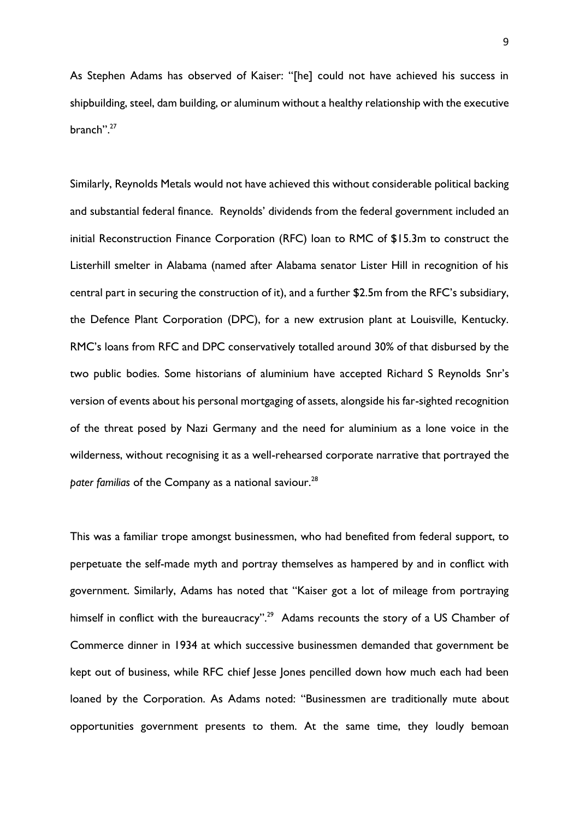As Stephen Adams has observed of Kaiser: "[he] could not have achieved his success in shipbuilding, steel, dam building, or aluminum without a healthy relationship with the executive branch".<sup>27</sup>

Similarly, Reynolds Metals would not have achieved this without considerable political backing and substantial federal finance. Reynolds' dividends from the federal government included an initial Reconstruction Finance Corporation (RFC) loan to RMC of \$15.3m to construct the Listerhill smelter in Alabama (named after Alabama senator Lister Hill in recognition of his central part in securing the construction of it), and a further \$2.5m from the RFC's subsidiary, the Defence Plant Corporation (DPC), for a new extrusion plant at Louisville, Kentucky. RMC's loans from RFC and DPC conservatively totalled around 30% of that disbursed by the two public bodies. Some historians of aluminium have accepted Richard S Reynolds Snr's version of events about his personal mortgaging of assets, alongside his far-sighted recognition of the threat posed by Nazi Germany and the need for aluminium as a lone voice in the wilderness, without recognising it as a well-rehearsed corporate narrative that portrayed the pater familias of the Company as a national saviour.<sup>28</sup>

This was a familiar trope amongst businessmen, who had benefited from federal support, to perpetuate the self-made myth and portray themselves as hampered by and in conflict with government. Similarly, Adams has noted that "Kaiser got a lot of mileage from portraying himself in conflict with the bureaucracy".<sup>29</sup> Adams recounts the story of a US Chamber of Commerce dinner in 1934 at which successive businessmen demanded that government be kept out of business, while RFC chief Jesse Jones pencilled down how much each had been loaned by the Corporation. As Adams noted: "Businessmen are traditionally mute about opportunities government presents to them. At the same time, they loudly bemoan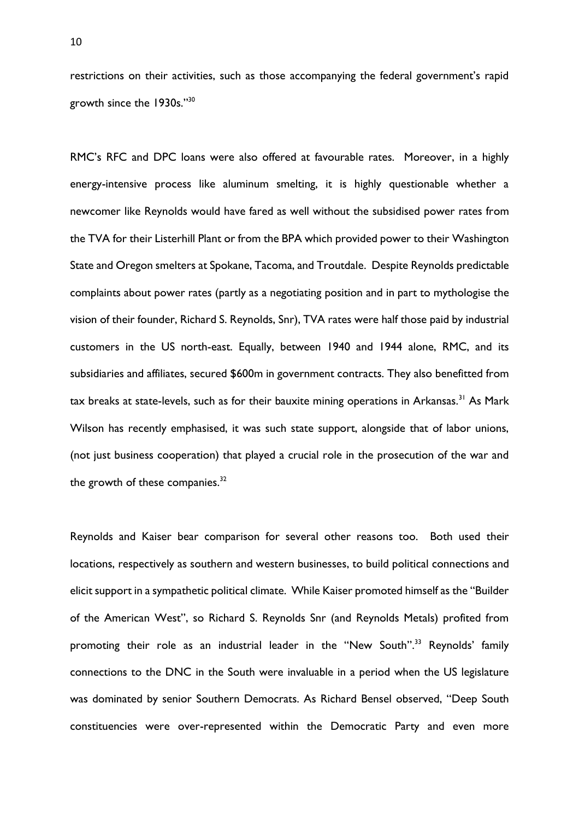restrictions on their activities, such as those accompanying the federal government's rapid growth since the 1930s."<sup>30</sup>

RMC's RFC and DPC loans were also offered at favourable rates. Moreover, in a highly energy-intensive process like aluminum smelting, it is highly questionable whether a newcomer like Reynolds would have fared as well without the subsidised power rates from the TVA for their Listerhill Plant or from the BPA which provided power to their Washington State and Oregon smelters at Spokane, Tacoma, and Troutdale. Despite Reynolds predictable complaints about power rates (partly as a negotiating position and in part to mythologise the vision of their founder, Richard S. Reynolds, Snr), TVA rates were half those paid by industrial customers in the US north-east. Equally, between 1940 and 1944 alone, RMC, and its subsidiaries and affiliates, secured \$600m in government contracts. They also benefitted from tax breaks at state-levels, such as for their bauxite mining operations in Arkansas.<sup>31</sup> As Mark Wilson has recently emphasised, it was such state support, alongside that of labor unions, (not just business cooperation) that played a crucial role in the prosecution of the war and the growth of these companies.<sup>32</sup>

Reynolds and Kaiser bear comparison for several other reasons too. Both used their locations, respectively as southern and western businesses, to build political connections and elicit support in a sympathetic political climate. While Kaiser promoted himself as the "Builder of the American West", so Richard S. Reynolds Snr (and Reynolds Metals) profited from promoting their role as an industrial leader in the "New South".<sup>33</sup> Reynolds' family connections to the DNC in the South were invaluable in a period when the US legislature was dominated by senior Southern Democrats. As Richard Bensel observed, "Deep South constituencies were over-represented within the Democratic Party and even more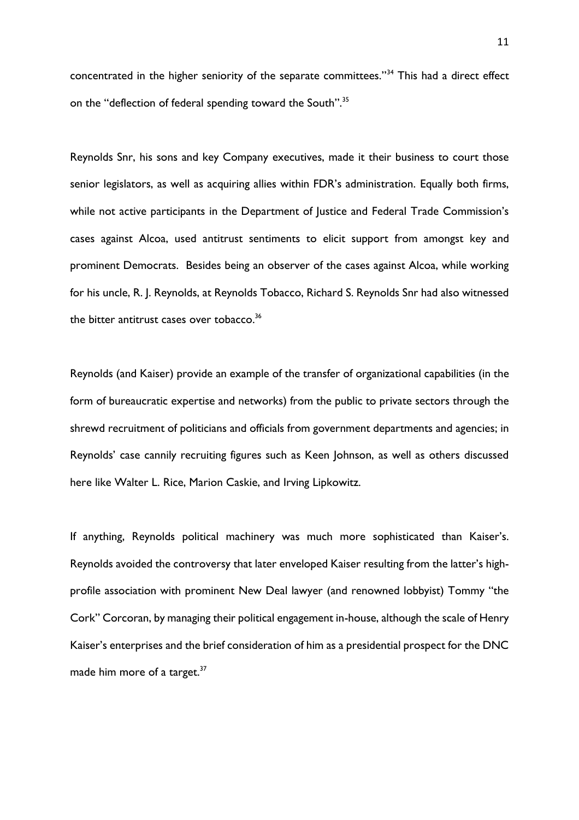concentrated in the higher seniority of the separate committees."<sup>34</sup> This had a direct effect on the "deflection of federal spending toward the South".<sup>35</sup>

Reynolds Snr, his sons and key Company executives, made it their business to court those senior legislators, as well as acquiring allies within FDR's administration. Equally both firms, while not active participants in the Department of Justice and Federal Trade Commission's cases against Alcoa, used antitrust sentiments to elicit support from amongst key and prominent Democrats. Besides being an observer of the cases against Alcoa, while working for his uncle, R. J. Reynolds, at Reynolds Tobacco, Richard S. Reynolds Snr had also witnessed the bitter antitrust cases over tobacco.<sup>36</sup>

Reynolds (and Kaiser) provide an example of the transfer of organizational capabilities (in the form of bureaucratic expertise and networks) from the public to private sectors through the shrewd recruitment of politicians and officials from government departments and agencies; in Reynolds' case cannily recruiting figures such as Keen Johnson, as well as others discussed here like Walter L. Rice, Marion Caskie, and Irving Lipkowitz.

If anything, Reynolds political machinery was much more sophisticated than Kaiser's. Reynolds avoided the controversy that later enveloped Kaiser resulting from the latter's highprofile association with prominent New Deal lawyer (and renowned lobbyist) Tommy "the Cork" Corcoran, by managing their political engagement in-house, although the scale of Henry Kaiser's enterprises and the brief consideration of him as a presidential prospect for the DNC made him more of a target.<sup>37</sup>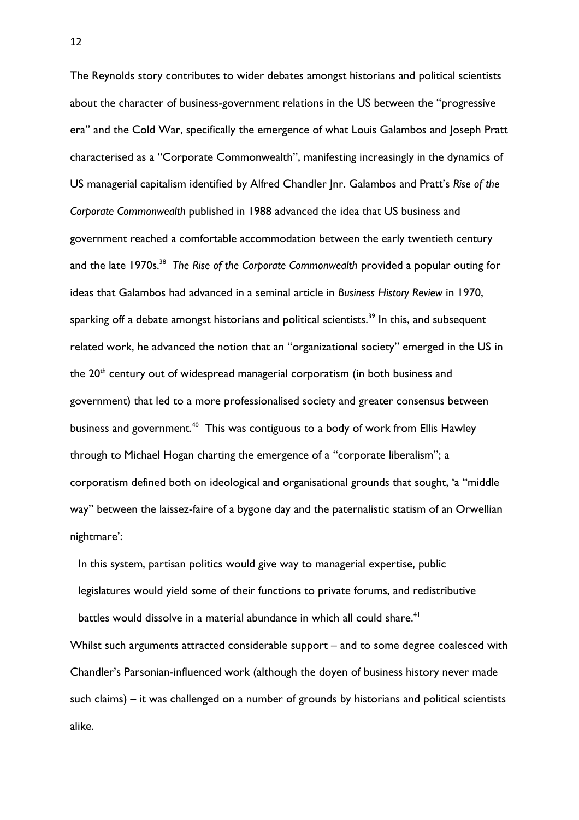The Reynolds story contributes to wider debates amongst historians and political scientists about the character of business-government relations in the US between the "progressive era" and the Cold War, specifically the emergence of what Louis Galambos and Joseph Pratt characterised as a "Corporate Commonwealth", manifesting increasingly in the dynamics of US managerial capitalism identified by Alfred Chandler Jnr. Galambos and Pratt's *Rise of the Corporate Commonwealth* published in 1988 advanced the idea that US business and government reached a comfortable accommodation between the early twentieth century and the late 1970s.<sup>38</sup> The Rise of the Corporate Commonwealth provided a popular outing for ideas that Galambos had advanced in a seminal article in *Business History Review* in 1970, sparking off a debate amongst historians and political scientists. <sup>39</sup> In this, and subsequent related work, he advanced the notion that an "organizational society" emerged in the US in the  $20<sup>th</sup>$  century out of widespread managerial corporatism (in both business and government) that led to a more professionalised society and greater consensus between business and government. $^{40}$  This was contiguous to a body of work from Ellis Hawley through to Michael Hogan charting the emergence of a "corporate liberalism"; a corporatism defined both on ideological and organisational grounds that sought, 'a "middle way" between the laissez-faire of a bygone day and the paternalistic statism of an Orwellian nightmare':

In this system, partisan politics would give way to managerial expertise, public legislatures would yield some of their functions to private forums, and redistributive battles would dissolve in a material abundance in which all could share.<sup>41</sup>

Whilst such arguments attracted considerable support – and to some degree coalesced with Chandler's Parsonian-influenced work (although the doyen of business history never made such claims) – it was challenged on a number of grounds by historians and political scientists alike.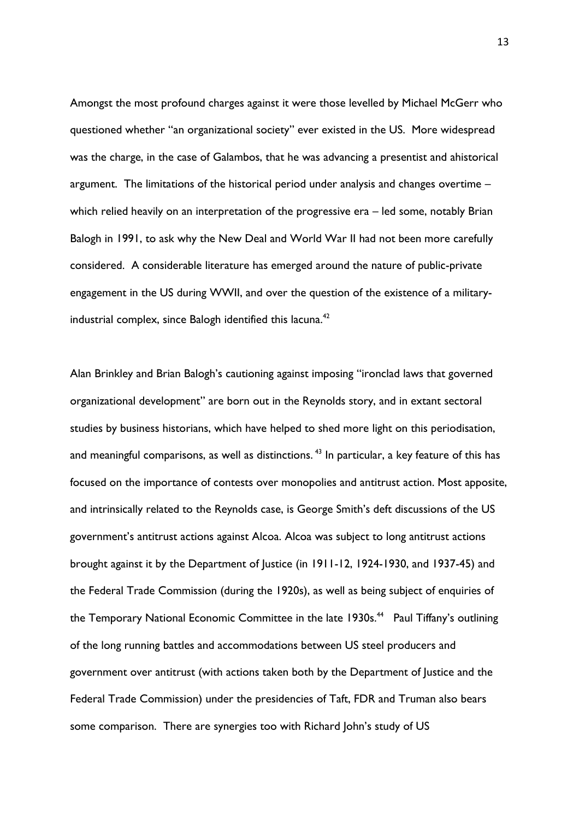Amongst the most profound charges against it were those levelled by Michael McGerr who questioned whether "an organizational society" ever existed in the US. More widespread was the charge, in the case of Galambos, that he was advancing a presentist and ahistorical argument. The limitations of the historical period under analysis and changes overtime – which relied heavily on an interpretation of the progressive era – led some, notably Brian Balogh in 1991, to ask why the New Deal and World War II had not been more carefully considered. A considerable literature has emerged around the nature of public-private engagement in the US during WWII, and over the question of the existence of a militaryindustrial complex, since Balogh identified this lacuna. $^{42}$ 

Alan Brinkley and Brian Balogh's cautioning against imposing "ironclad laws that governed organizational development" are born out in the Reynolds story, and in extant sectoral studies by business historians, which have helped to shed more light on this periodisation, and meaningful comparisons, as well as distinctions.<sup>43</sup> In particular, a key feature of this has focused on the importance of contests over monopolies and antitrust action. Most apposite, and intrinsically related to the Reynolds case, is George Smith's deft discussions of the US government's antitrust actions against Alcoa. Alcoa was subject to long antitrust actions brought against it by the Department of Justice (in 1911-12, 1924-1930, and 1937-45) and the Federal Trade Commission (during the 1920s), as well as being subject of enquiries of the Temporary National Economic Committee in the late 1930s.<sup>44</sup> Paul Tiffany's outlining of the long running battles and accommodations between US steel producers and government over antitrust (with actions taken both by the Department of Justice and the Federal Trade Commission) under the presidencies of Taft, FDR and Truman also bears some comparison. There are synergies too with Richard John's study of US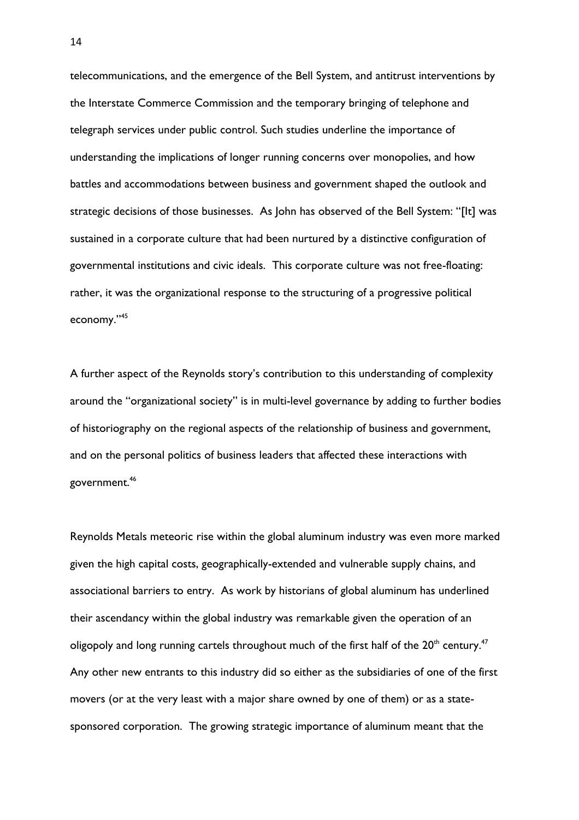telecommunications, and the emergence of the Bell System, and antitrust interventions by the Interstate Commerce Commission and the temporary bringing of telephone and telegraph services under public control. Such studies underline the importance of understanding the implications of longer running concerns over monopolies, and how battles and accommodations between business and government shaped the outlook and strategic decisions of those businesses. As John has observed of the Bell System: "[It] was sustained in a corporate culture that had been nurtured by a distinctive configuration of governmental institutions and civic ideals. This corporate culture was not free-floating: rather, it was the organizational response to the structuring of a progressive political economy."<sup>45</sup>

A further aspect of the Reynolds story's contribution to this understanding of complexity around the "organizational society" is in multi-level governance by adding to further bodies of historiography on the regional aspects of the relationship of business and government, and on the personal politics of business leaders that affected these interactions with government.<sup>46</sup>

Reynolds Metals meteoric rise within the global aluminum industry was even more marked given the high capital costs, geographically-extended and vulnerable supply chains, and associational barriers to entry. As work by historians of global aluminum has underlined their ascendancy within the global industry was remarkable given the operation of an oligopoly and long running cartels throughout much of the first half of the  $20<sup>th</sup>$  century.<sup>47</sup> Any other new entrants to this industry did so either as the subsidiaries of one of the first movers (or at the very least with a major share owned by one of them) or as a statesponsored corporation. The growing strategic importance of aluminum meant that the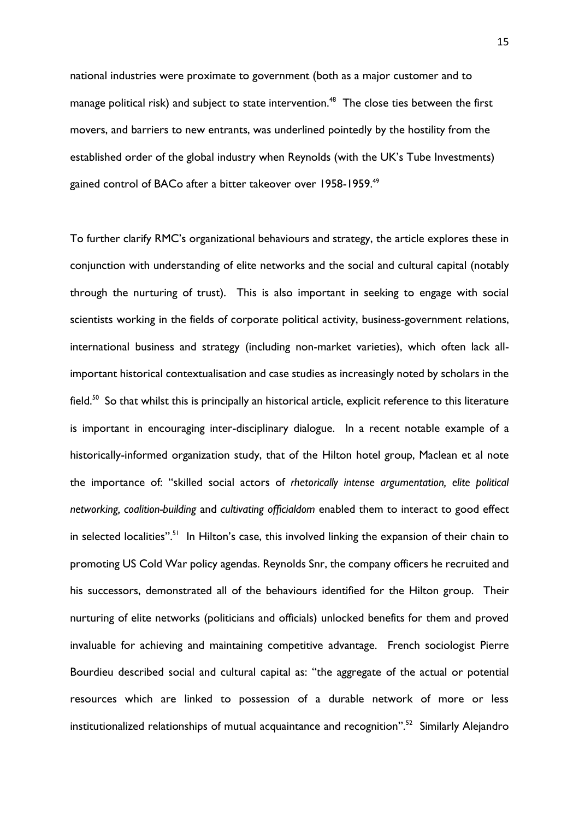national industries were proximate to government (both as a major customer and to manage political risk) and subject to state intervention. $^{48}$  The close ties between the first movers, and barriers to new entrants, was underlined pointedly by the hostility from the established order of the global industry when Reynolds (with the UK's Tube Investments) gained control of BACo after a bitter takeover over 1958-1959.<sup>49</sup>

To further clarify RMC's organizational behaviours and strategy, the article explores these in conjunction with understanding of elite networks and the social and cultural capital (notably through the nurturing of trust). This is also important in seeking to engage with social scientists working in the fields of corporate political activity, business-government relations, international business and strategy (including non-market varieties), which often lack allimportant historical contextualisation and case studies as increasingly noted by scholars in the field. $^{50}\,$  So that whilst this is principally an historical article, explicit reference to this literature is important in encouraging inter-disciplinary dialogue. In a recent notable example of a historically-informed organization study, that of the Hilton hotel group, Maclean et al note the importance of: "skilled social actors of *rhetorically intense argumentation, elite political networking, coalition-building* and *cultivating officialdom* enabled them to interact to good effect in selected localities".<sup>51</sup> In Hilton's case, this involved linking the expansion of their chain to promoting US Cold War policy agendas. Reynolds Snr, the company officers he recruited and his successors, demonstrated all of the behaviours identified for the Hilton group. Their nurturing of elite networks (politicians and officials) unlocked benefits for them and proved invaluable for achieving and maintaining competitive advantage. French sociologist Pierre Bourdieu described social and cultural capital as: "the aggregate of the actual or potential resources which are linked to possession of a durable network of more or less institutionalized relationships of mutual acquaintance and recognition".<sup>52</sup> Similarly Alejandro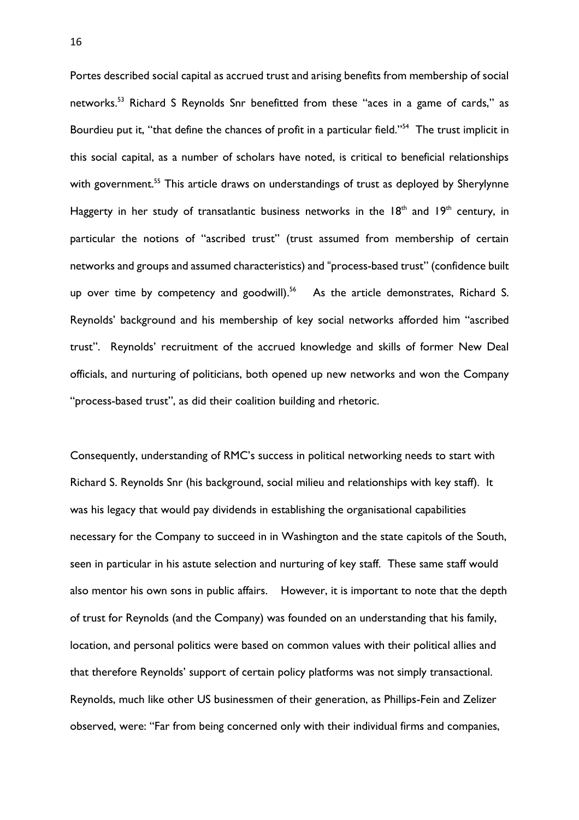Portes described social capital as accrued trust and arising benefits from membership of social networks.<sup>53</sup> Richard S Reynolds Snr benefitted from these "aces in a game of cards," as Bourdieu put it, "that define the chances of profit in a particular field."<sup>54</sup> The trust implicit in this social capital, as a number of scholars have noted, is critical to beneficial relationships with government.<sup>55</sup> This article draws on understandings of trust as deployed by Sherylynne Haggerty in her study of transatlantic business networks in the  $18<sup>th</sup>$  and  $19<sup>th</sup>$  century, in particular the notions of "ascribed trust" (trust assumed from membership of certain networks and groups and assumed characteristics) and "process-based trust" (confidence built up over time by competency and goodwill). 56 As the article demonstrates, Richard S. Reynolds' background and his membership of key social networks afforded him "ascribed trust". Reynolds' recruitment of the accrued knowledge and skills of former New Deal officials, and nurturing of politicians, both opened up new networks and won the Company "process-based trust", as did their coalition building and rhetoric.

Consequently, understanding of RMC's success in political networking needs to start with Richard S. Reynolds Snr (his background, social milieu and relationships with key staff). It was his legacy that would pay dividends in establishing the organisational capabilities necessary for the Company to succeed in in Washington and the state capitols of the South, seen in particular in his astute selection and nurturing of key staff. These same staff would also mentor his own sons in public affairs. However, it is important to note that the depth of trust for Reynolds (and the Company) was founded on an understanding that his family, location, and personal politics were based on common values with their political allies and that therefore Reynolds' support of certain policy platforms was not simply transactional. Reynolds, much like other US businessmen of their generation, as Phillips-Fein and Zelizer observed, were: "Far from being concerned only with their individual firms and companies,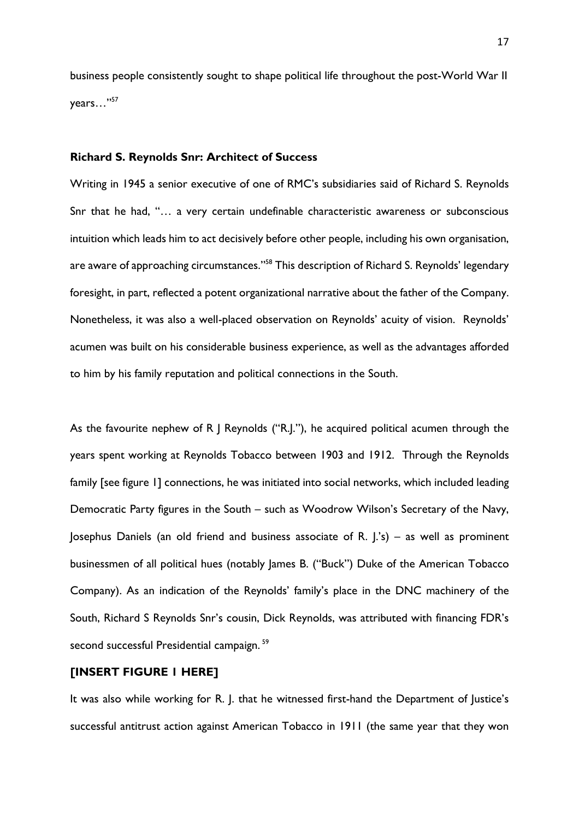business people consistently sought to shape political life throughout the post-World War II years…"<sup>57</sup>

### **Richard S. Reynolds Snr: Architect of Success**

Writing in 1945 a senior executive of one of RMC's subsidiaries said of Richard S. Reynolds Snr that he had, "… a very certain undefinable characteristic awareness or subconscious intuition which leads him to act decisively before other people, including his own organisation, are aware of approaching circumstances."<sup>58</sup> This description of Richard S. Reynolds' legendary foresight, in part, reflected a potent organizational narrative about the father of the Company. Nonetheless, it was also a well-placed observation on Reynolds' acuity of vision. Reynolds' acumen was built on his considerable business experience, as well as the advantages afforded to him by his family reputation and political connections in the South.

As the favourite nephew of R J Reynolds ("R.J."), he acquired political acumen through the years spent working at Reynolds Tobacco between 1903 and 1912. Through the Reynolds family [see figure 1] connections, he was initiated into social networks, which included leading Democratic Party figures in the South – such as Woodrow Wilson's Secretary of the Navy, Josephus Daniels (an old friend and business associate of R. J.'s) – as well as prominent businessmen of all political hues (notably James B. ("Buck") Duke of the American Tobacco Company). As an indication of the Reynolds' family's place in the DNC machinery of the South, Richard S Reynolds Snr's cousin, Dick Reynolds, was attributed with financing FDR's second successful Presidential campaign.<sup>59</sup>

## **[INSERT FIGURE 1 HERE]**

It was also while working for R. J. that he witnessed first-hand the Department of Justice's successful antitrust action against American Tobacco in 1911 (the same year that they won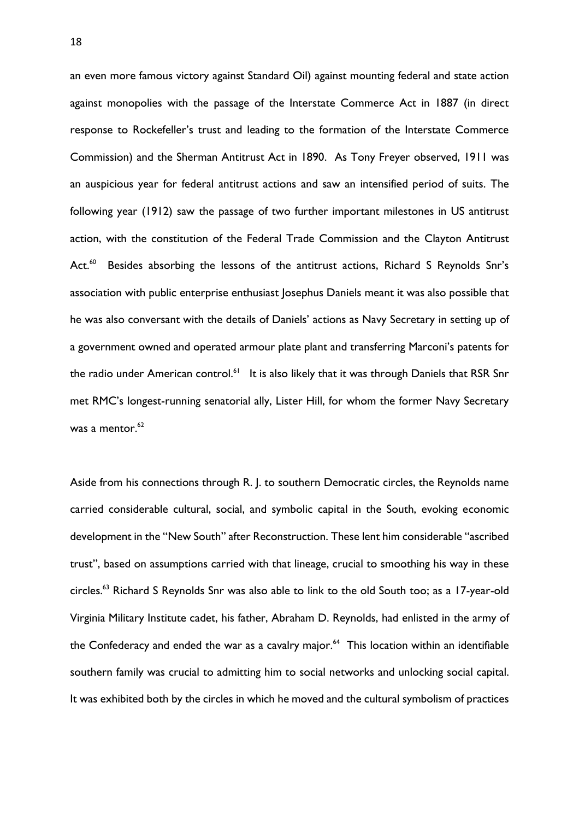an even more famous victory against Standard Oil) against mounting federal and state action against monopolies with the passage of the Interstate Commerce Act in 1887 (in direct response to Rockefeller's trust and leading to the formation of the Interstate Commerce Commission) and the Sherman Antitrust Act in 1890. As Tony Freyer observed, 1911 was an auspicious year for federal antitrust actions and saw an intensified period of suits. The following year (1912) saw the passage of two further important milestones in US antitrust action, with the constitution of the Federal Trade Commission and the Clayton Antitrust Act.<sup>60</sup> Besides absorbing the lessons of the antitrust actions, Richard S Reynolds Snr's association with public enterprise enthusiast Josephus Daniels meant it was also possible that he was also conversant with the details of Daniels' actions as Navy Secretary in setting up of a government owned and operated armour plate plant and transferring Marconi's patents for the radio under American control.<sup>61</sup> It is also likely that it was through Daniels that RSR Snr met RMC's longest-running senatorial ally, Lister Hill, for whom the former Navy Secretary was a mentor. $^{62}$ 

Aside from his connections through R. J. to southern Democratic circles, the Reynolds name carried considerable cultural, social, and symbolic capital in the South, evoking economic development in the "New South" after Reconstruction. These lent him considerable "ascribed trust", based on assumptions carried with that lineage, crucial to smoothing his way in these circles.<sup>63</sup> Richard S Reynolds Snr was also able to link to the old South too; as a 17-year-old Virginia Military Institute cadet, his father, Abraham D. Reynolds, had enlisted in the army of the Confederacy and ended the war as a cavalry major.<sup>64</sup> This location within an identifiable southern family was crucial to admitting him to social networks and unlocking social capital. It was exhibited both by the circles in which he moved and the cultural symbolism of practices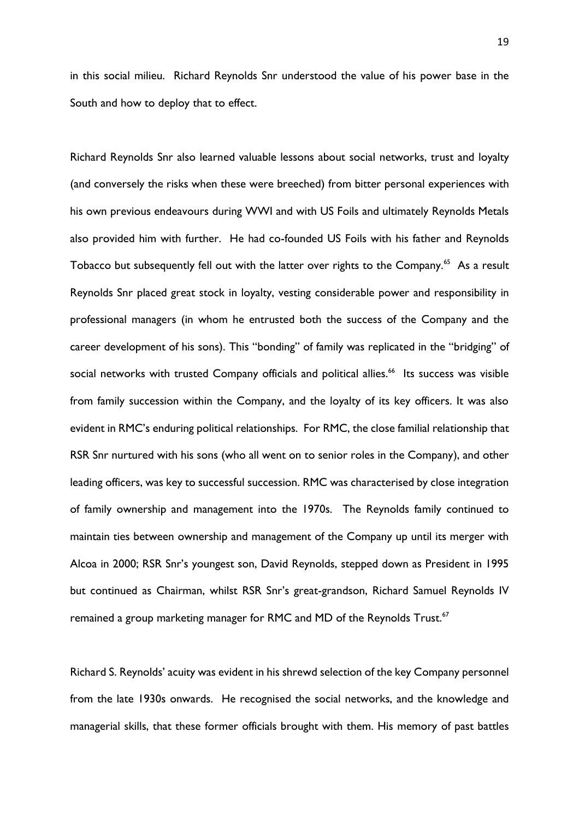in this social milieu. Richard Reynolds Snr understood the value of his power base in the South and how to deploy that to effect.

Richard Reynolds Snr also learned valuable lessons about social networks, trust and loyalty (and conversely the risks when these were breeched) from bitter personal experiences with his own previous endeavours during WWI and with US Foils and ultimately Reynolds Metals also provided him with further. He had co-founded US Foils with his father and Reynolds Tobacco but subsequently fell out with the latter over rights to the Company. $^{65}$  As a result Reynolds Snr placed great stock in loyalty, vesting considerable power and responsibility in professional managers (in whom he entrusted both the success of the Company and the career development of his sons). This "bonding" of family was replicated in the "bridging" of social networks with trusted Company officials and political allies.<sup>66</sup> Its success was visible from family succession within the Company, and the loyalty of its key officers. It was also evident in RMC's enduring political relationships. For RMC, the close familial relationship that RSR Snr nurtured with his sons (who all went on to senior roles in the Company), and other leading officers, was key to successful succession. RMC was characterised by close integration of family ownership and management into the 1970s. The Reynolds family continued to maintain ties between ownership and management of the Company up until its merger with Alcoa in 2000; RSR Snr's youngest son, David Reynolds, stepped down as President in 1995 but continued as Chairman, whilst RSR Snr's great-grandson, Richard Samuel Reynolds IV remained a group marketing manager for RMC and MD of the Reynolds Trust. $^{67}$ 

Richard S. Reynolds' acuity was evident in his shrewd selection of the key Company personnel from the late 1930s onwards. He recognised the social networks, and the knowledge and managerial skills, that these former officials brought with them. His memory of past battles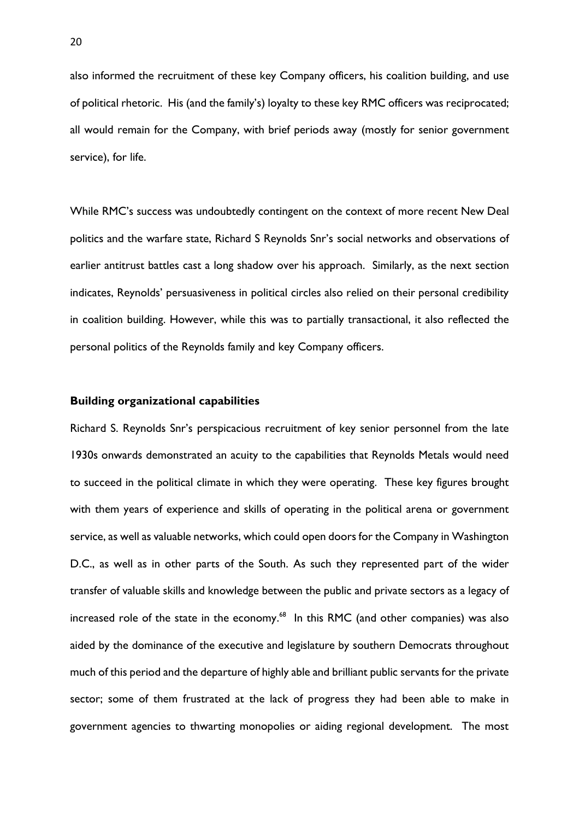also informed the recruitment of these key Company officers, his coalition building, and use of political rhetoric. His (and the family's) loyalty to these key RMC officers was reciprocated; all would remain for the Company, with brief periods away (mostly for senior government service), for life.

While RMC's success was undoubtedly contingent on the context of more recent New Deal politics and the warfare state, Richard S Reynolds Snr's social networks and observations of earlier antitrust battles cast a long shadow over his approach. Similarly, as the next section indicates, Reynolds' persuasiveness in political circles also relied on their personal credibility in coalition building. However, while this was to partially transactional, it also reflected the personal politics of the Reynolds family and key Company officers.

### **Building organizational capabilities**

Richard S. Reynolds Snr's perspicacious recruitment of key senior personnel from the late 1930s onwards demonstrated an acuity to the capabilities that Reynolds Metals would need to succeed in the political climate in which they were operating. These key figures brought with them years of experience and skills of operating in the political arena or government service, as well as valuable networks, which could open doors for the Company in Washington D.C., as well as in other parts of the South. As such they represented part of the wider transfer of valuable skills and knowledge between the public and private sectors as a legacy of increased role of the state in the economy. <sup>68</sup> In this RMC (and other companies) was also aided by the dominance of the executive and legislature by southern Democrats throughout much of this period and the departure of highly able and brilliant public servants for the private sector; some of them frustrated at the lack of progress they had been able to make in government agencies to thwarting monopolies or aiding regional development. The most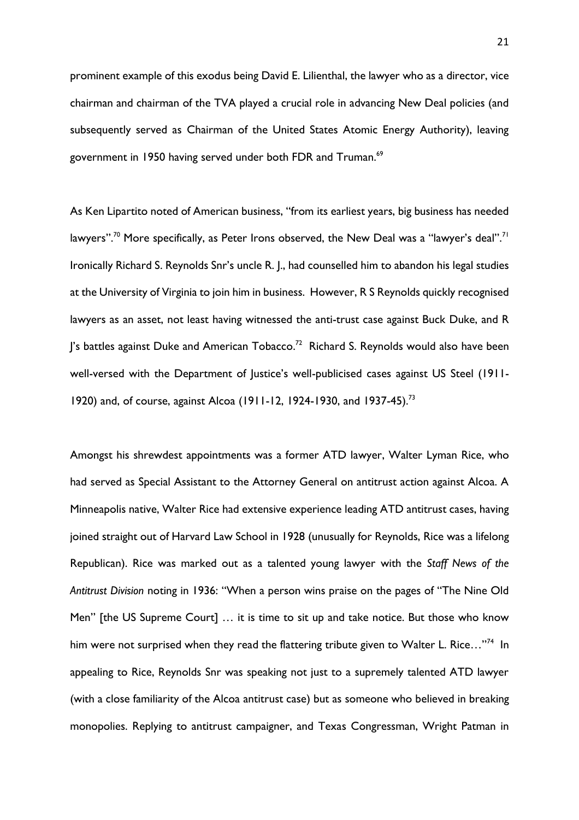prominent example of this exodus being David E. Lilienthal, the lawyer who as a director, vice chairman and chairman of the TVA played a crucial role in advancing New Deal policies (and subsequently served as Chairman of the United States Atomic Energy Authority), leaving government in 1950 having served under both FDR and Truman.<sup>69</sup>

As Ken Lipartito noted of American business, "from its earliest years, big business has needed lawyers". $^{70}$  More specifically, as Peter Irons observed, the New Deal was a "lawyer's deal". $^{71}$ Ironically Richard S. Reynolds Snr's uncle R. J., had counselled him to abandon his legal studies at the University of Virginia to join him in business. However, R S Reynolds quickly recognised lawyers as an asset, not least having witnessed the anti-trust case against Buck Duke, and R J's battles against Duke and American Tobacco. $^{72}\,$  Richard S. Reynolds would also have been well-versed with the Department of Justice's well-publicised cases against US Steel (1911- 1920) and, of course, against Alcoa (1911-12, 1924-1930, and 1937-45).<sup>73</sup>

Amongst his shrewdest appointments was a former ATD lawyer, Walter Lyman Rice, who had served as Special Assistant to the Attorney General on antitrust action against Alcoa. A Minneapolis native, Walter Rice had extensive experience leading ATD antitrust cases, having joined straight out of Harvard Law School in 1928 (unusually for Reynolds, Rice was a lifelong Republican). Rice was marked out as a talented young lawyer with the *Staff News of the Antitrust Division* noting in 1936: "When a person wins praise on the pages of "The Nine Old Men" [the US Supreme Court] … it is time to sit up and take notice. But those who know him were not surprised when they read the flattering tribute given to Walter L. Rice..."<sup>74</sup> In appealing to Rice, Reynolds Snr was speaking not just to a supremely talented ATD lawyer (with a close familiarity of the Alcoa antitrust case) but as someone who believed in breaking monopolies. Replying to antitrust campaigner, and Texas Congressman, Wright Patman in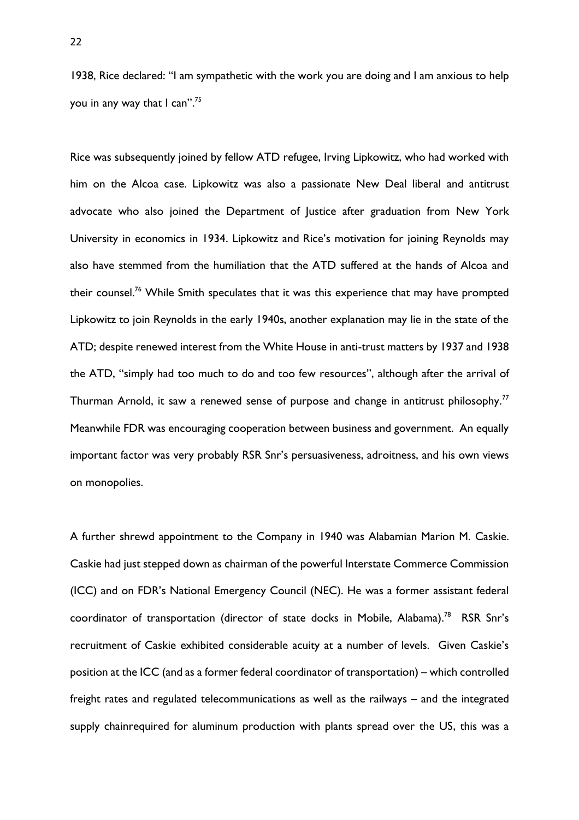1938, Rice declared: "I am sympathetic with the work you are doing and I am anxious to help you in any way that I can".<sup>75</sup>

Rice was subsequently joined by fellow ATD refugee, Irving Lipkowitz, who had worked with him on the Alcoa case. Lipkowitz was also a passionate New Deal liberal and antitrust advocate who also joined the Department of Justice after graduation from New York University in economics in 1934. Lipkowitz and Rice's motivation for joining Reynolds may also have stemmed from the humiliation that the ATD suffered at the hands of Alcoa and their counsel.<sup>76</sup> While Smith speculates that it was this experience that may have prompted Lipkowitz to join Reynolds in the early 1940s, another explanation may lie in the state of the ATD; despite renewed interest from the White House in anti-trust matters by 1937 and 1938 the ATD, "simply had too much to do and too few resources", although after the arrival of Thurman Arnold, it saw a renewed sense of purpose and change in antitrust philosophy.<sup>77</sup> Meanwhile FDR was encouraging cooperation between business and government. An equally important factor was very probably RSR Snr's persuasiveness, adroitness, and his own views on monopolies.

A further shrewd appointment to the Company in 1940 was Alabamian Marion M. Caskie. Caskie had just stepped down as chairman of the powerful Interstate Commerce Commission (ICC) and on FDR's National Emergency Council (NEC). He was a former assistant federal coordinator of transportation (director of state docks in Mobile, Alabama).<sup>78</sup> RSR Snr's recruitment of Caskie exhibited considerable acuity at a number of levels. Given Caskie's position at the ICC (and as a former federal coordinator of transportation) – which controlled freight rates and regulated telecommunications as well as the railways – and the integrated supply chainrequired for aluminum production with plants spread over the US, this was a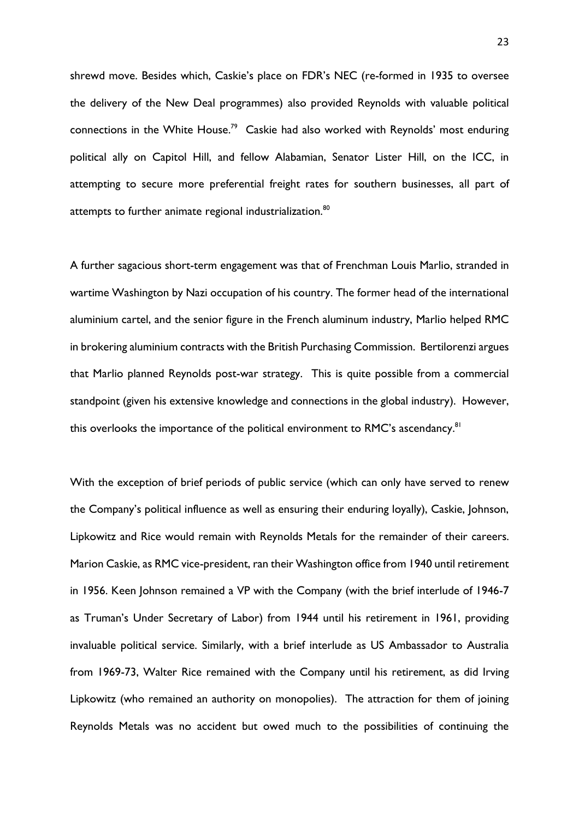shrewd move. Besides which, Caskie's place on FDR's NEC (re-formed in 1935 to oversee the delivery of the New Deal programmes) also provided Reynolds with valuable political connections in the White House.<sup>79</sup> Caskie had also worked with Reynolds' most enduring political ally on Capitol Hill, and fellow Alabamian, Senator Lister Hill, on the ICC, in attempting to secure more preferential freight rates for southern businesses, all part of attempts to further animate regional industrialization.<sup>80</sup>

A further sagacious short-term engagement was that of Frenchman Louis Marlio, stranded in wartime Washington by Nazi occupation of his country. The former head of the international aluminium cartel, and the senior figure in the French aluminum industry, Marlio helped RMC in brokering aluminium contracts with the British Purchasing Commission. Bertilorenzi argues that Marlio planned Reynolds post-war strategy. This is quite possible from a commercial standpoint (given his extensive knowledge and connections in the global industry). However, this overlooks the importance of the political environment to RMC's ascendancy.<sup>81</sup>

With the exception of brief periods of public service (which can only have served to renew the Company's political influence as well as ensuring their enduring loyally), Caskie, Johnson, Lipkowitz and Rice would remain with Reynolds Metals for the remainder of their careers. Marion Caskie, as RMC vice-president, ran their Washington office from 1940 until retirement in 1956. Keen Johnson remained a VP with the Company (with the brief interlude of 1946-7 as Truman's Under Secretary of Labor) from 1944 until his retirement in 1961, providing invaluable political service. Similarly, with a brief interlude as US Ambassador to Australia from 1969-73, Walter Rice remained with the Company until his retirement, as did Irving Lipkowitz (who remained an authority on monopolies). The attraction for them of joining Reynolds Metals was no accident but owed much to the possibilities of continuing the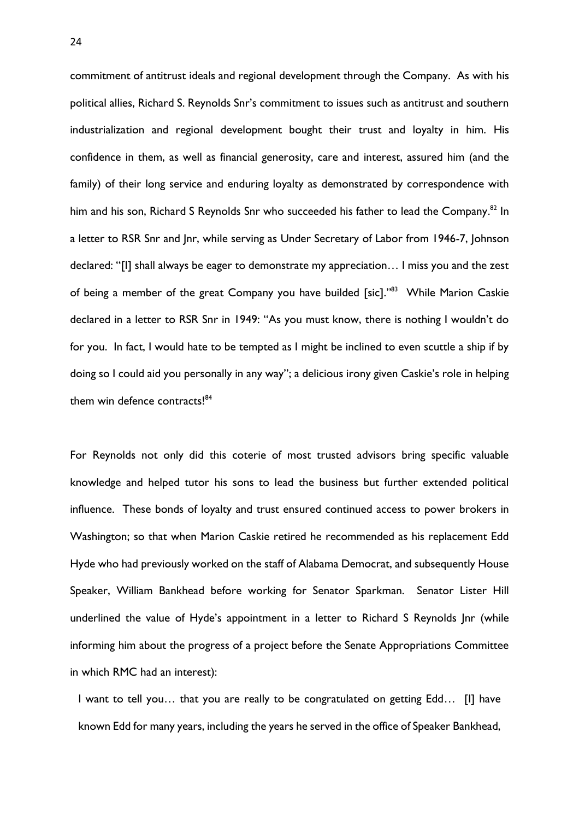commitment of antitrust ideals and regional development through the Company. As with his political allies, Richard S. Reynolds Snr's commitment to issues such as antitrust and southern industrialization and regional development bought their trust and loyalty in him. His confidence in them, as well as financial generosity, care and interest, assured him (and the family) of their long service and enduring loyalty as demonstrated by correspondence with him and his son, Richard S Reynolds Snr who succeeded his father to lead the Company.<sup>82</sup> In a letter to RSR Snr and Jnr, while serving as Under Secretary of Labor from 1946-7, Johnson declared: "[I] shall always be eager to demonstrate my appreciation… I miss you and the zest of being a member of the great Company you have builded [sic].''<sup>83</sup> While Marion Caskie declared in a letter to RSR Snr in 1949: "As you must know, there is nothing I wouldn't do for you. In fact, I would hate to be tempted as I might be inclined to even scuttle a ship if by doing so I could aid you personally in any way"; a delicious irony given Caskie's role in helping them win defence contracts!<sup>84</sup>

For Reynolds not only did this coterie of most trusted advisors bring specific valuable knowledge and helped tutor his sons to lead the business but further extended political influence. These bonds of loyalty and trust ensured continued access to power brokers in Washington; so that when Marion Caskie retired he recommended as his replacement Edd Hyde who had previously worked on the staff of Alabama Democrat, and subsequently House Speaker, William Bankhead before working for Senator Sparkman. Senator Lister Hill underlined the value of Hyde's appointment in a letter to Richard S Reynolds Jnr (while informing him about the progress of a project before the Senate Appropriations Committee in which RMC had an interest):

I want to tell you… that you are really to be congratulated on getting Edd… [I] have known Edd for many years, including the years he served in the office of Speaker Bankhead,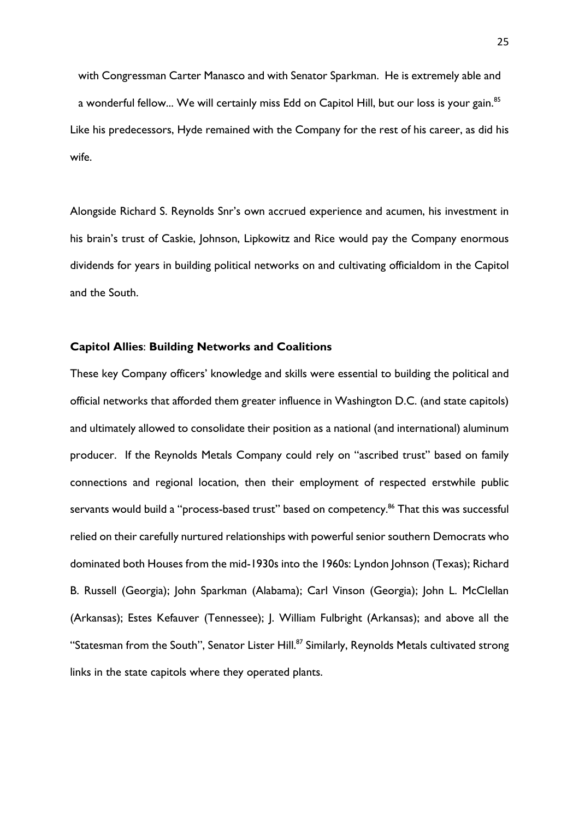with Congressman Carter Manasco and with Senator Sparkman. He is extremely able and a wonderful fellow... We will certainly miss Edd on Capitol Hill, but our loss is your gain.<sup>85</sup> Like his predecessors, Hyde remained with the Company for the rest of his career, as did his wife.

Alongside Richard S. Reynolds Snr's own accrued experience and acumen, his investment in his brain's trust of Caskie, Johnson, Lipkowitz and Rice would pay the Company enormous dividends for years in building political networks on and cultivating officialdom in the Capitol and the South.

### **Capitol Allies**: **Building Networks and Coalitions**

These key Company officers' knowledge and skills were essential to building the political and official networks that afforded them greater influence in Washington D.C. (and state capitols) and ultimately allowed to consolidate their position as a national (and international) aluminum producer. If the Reynolds Metals Company could rely on "ascribed trust" based on family connections and regional location, then their employment of respected erstwhile public servants would build a "process-based trust" based on competency.<sup>86</sup> That this was successful relied on their carefully nurtured relationships with powerful senior southern Democrats who dominated both Houses from the mid-1930s into the 1960s: Lyndon Johnson (Texas); Richard B. Russell (Georgia); John Sparkman (Alabama); Carl Vinson (Georgia); John L. McClellan (Arkansas); Estes Kefauver (Tennessee); J. William Fulbright (Arkansas); and above all the "Statesman from the South", Senator Lister Hill.<sup>87</sup> Similarly, Reynolds Metals cultivated strong links in the state capitols where they operated plants.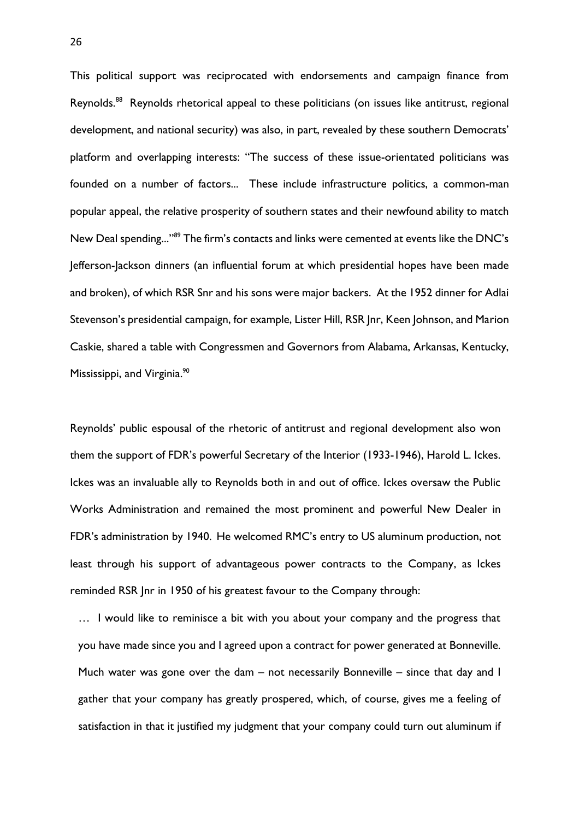This political support was reciprocated with endorsements and campaign finance from Reynolds.<sup>88</sup> Reynolds rhetorical appeal to these politicians (on issues like antitrust, regional development, and national security) was also, in part, revealed by these southern Democrats' platform and overlapping interests: "The success of these issue-orientated politicians was founded on a number of factors... These include infrastructure politics, a common-man popular appeal, the relative prosperity of southern states and their newfound ability to match New Deal spending..."<sup>89</sup> The firm's contacts and links were cemented at events like the DNC's Jefferson-Jackson dinners (an influential forum at which presidential hopes have been made and broken), of which RSR Snr and his sons were major backers. At the 1952 dinner for Adlai Stevenson's presidential campaign, for example, Lister Hill, RSR Jnr, Keen Johnson, and Marion Caskie, shared a table with Congressmen and Governors from Alabama, Arkansas, Kentucky, Mississippi, and Virginia.<sup>90</sup>

Reynolds' public espousal of the rhetoric of antitrust and regional development also won them the support of FDR's powerful Secretary of the Interior (1933-1946), Harold L. Ickes. Ickes was an invaluable ally to Reynolds both in and out of office. Ickes oversaw the Public Works Administration and remained the most prominent and powerful New Dealer in FDR's administration by 1940. He welcomed RMC's entry to US aluminum production, not least through his support of advantageous power contracts to the Company, as Ickes reminded RSR Jnr in 1950 of his greatest favour to the Company through:

… I would like to reminisce a bit with you about your company and the progress that you have made since you and I agreed upon a contract for power generated at Bonneville. Much water was gone over the dam – not necessarily Bonneville – since that day and I gather that your company has greatly prospered, which, of course, gives me a feeling of satisfaction in that it justified my judgment that your company could turn out aluminum if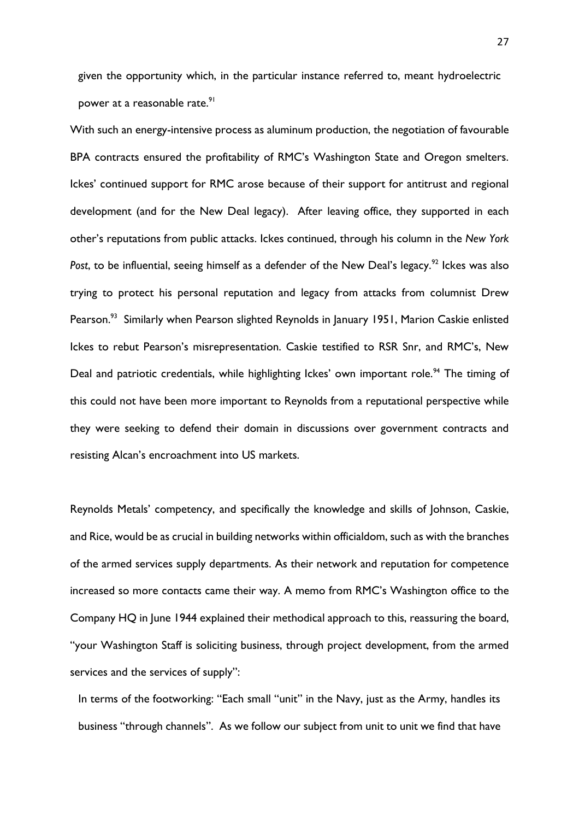given the opportunity which, in the particular instance referred to, meant hydroelectric power at a reasonable rate.<sup>91</sup>

With such an energy-intensive process as aluminum production, the negotiation of favourable BPA contracts ensured the profitability of RMC's Washington State and Oregon smelters. Ickes' continued support for RMC arose because of their support for antitrust and regional development (and for the New Deal legacy). After leaving office, they supported in each other's reputations from public attacks. Ickes continued, through his column in the *New York*  Post, to be influential, seeing himself as a defender of the New Deal's legacy.<sup>92</sup> Ickes was also trying to protect his personal reputation and legacy from attacks from columnist Drew Pearson.<sup>93</sup> Similarly when Pearson slighted Reynolds in January 1951, Marion Caskie enlisted Ickes to rebut Pearson's misrepresentation. Caskie testified to RSR Snr, and RMC's, New Deal and patriotic credentials, while highlighting Ickes' own important role.<sup>94</sup> The timing of this could not have been more important to Reynolds from a reputational perspective while they were seeking to defend their domain in discussions over government contracts and resisting Alcan's encroachment into US markets.

Reynolds Metals' competency, and specifically the knowledge and skills of Johnson, Caskie, and Rice, would be as crucial in building networks within officialdom, such as with the branches of the armed services supply departments. As their network and reputation for competence increased so more contacts came their way. A memo from RMC's Washington office to the Company HQ in June 1944 explained their methodical approach to this, reassuring the board, "your Washington Staff is soliciting business, through project development, from the armed services and the services of supply":

In terms of the footworking: "Each small "unit" in the Navy, just as the Army, handles its business "through channels". As we follow our subject from unit to unit we find that have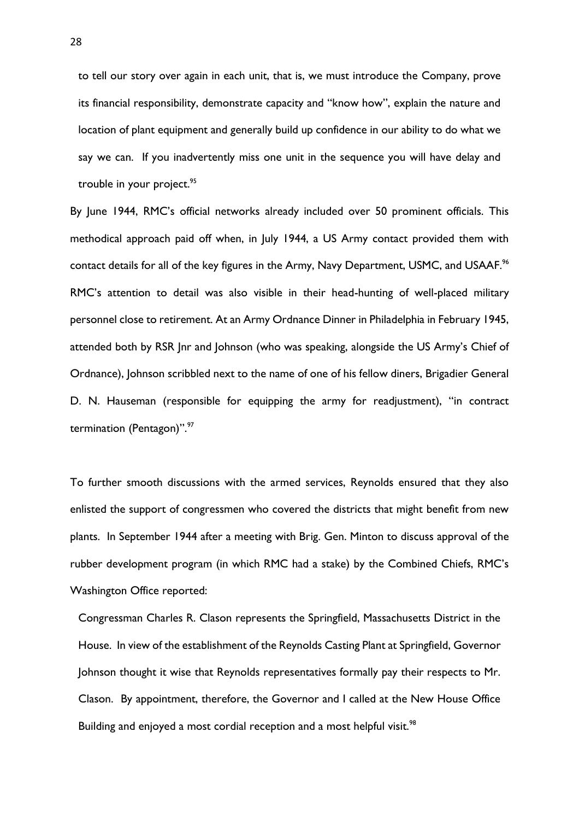to tell our story over again in each unit, that is, we must introduce the Company, prove its financial responsibility, demonstrate capacity and "know how", explain the nature and location of plant equipment and generally build up confidence in our ability to do what we say we can. If you inadvertently miss one unit in the sequence you will have delay and trouble in your project.<sup>95</sup>

By June 1944, RMC's official networks already included over 50 prominent officials. This methodical approach paid off when, in July 1944, a US Army contact provided them with contact details for all of the key figures in the Army, Navy Department, USMC, and USAAF.<sup>96</sup> RMC's attention to detail was also visible in their head-hunting of well-placed military personnel close to retirement. At an Army Ordnance Dinner in Philadelphia in February 1945, attended both by RSR Jnr and Johnson (who was speaking, alongside the US Army's Chief of Ordnance), Johnson scribbled next to the name of one of his fellow diners, Brigadier General D. N. Hauseman (responsible for equipping the army for readjustment), "in contract termination (Pentagon)".<sup>97</sup>

To further smooth discussions with the armed services, Reynolds ensured that they also enlisted the support of congressmen who covered the districts that might benefit from new plants. In September 1944 after a meeting with Brig. Gen. Minton to discuss approval of the rubber development program (in which RMC had a stake) by the Combined Chiefs, RMC's Washington Office reported:

Congressman Charles R. Clason represents the Springfield, Massachusetts District in the House. In view of the establishment of the Reynolds Casting Plant at Springfield, Governor Johnson thought it wise that Reynolds representatives formally pay their respects to Mr. Clason. By appointment, therefore, the Governor and I called at the New House Office Building and enjoyed a most cordial reception and a most helpful visit.<sup>98</sup>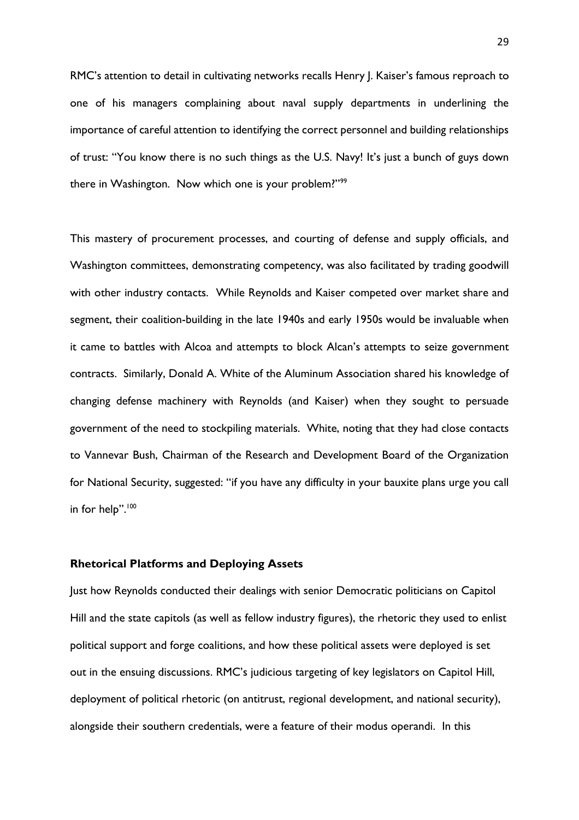RMC's attention to detail in cultivating networks recalls Henry J. Kaiser's famous reproach to one of his managers complaining about naval supply departments in underlining the importance of careful attention to identifying the correct personnel and building relationships of trust: "You know there is no such things as the U.S. Navy! It's just a bunch of guys down there in Washington. Now which one is your problem?"<sup>99</sup>

This mastery of procurement processes, and courting of defense and supply officials, and Washington committees, demonstrating competency, was also facilitated by trading goodwill with other industry contacts. While Reynolds and Kaiser competed over market share and segment, their coalition-building in the late 1940s and early 1950s would be invaluable when it came to battles with Alcoa and attempts to block Alcan's attempts to seize government contracts. Similarly, Donald A. White of the Aluminum Association shared his knowledge of changing defense machinery with Reynolds (and Kaiser) when they sought to persuade government of the need to stockpiling materials. White, noting that they had close contacts to Vannevar Bush, Chairman of the Research and Development Board of the Organization for National Security, suggested: "if you have any difficulty in your bauxite plans urge you call in for help".<sup>100</sup>

### **Rhetorical Platforms and Deploying Assets**

Just how Reynolds conducted their dealings with senior Democratic politicians on Capitol Hill and the state capitols (as well as fellow industry figures), the rhetoric they used to enlist political support and forge coalitions, and how these political assets were deployed is set out in the ensuing discussions. RMC's judicious targeting of key legislators on Capitol Hill, deployment of political rhetoric (on antitrust, regional development, and national security), alongside their southern credentials, were a feature of their modus operandi. In this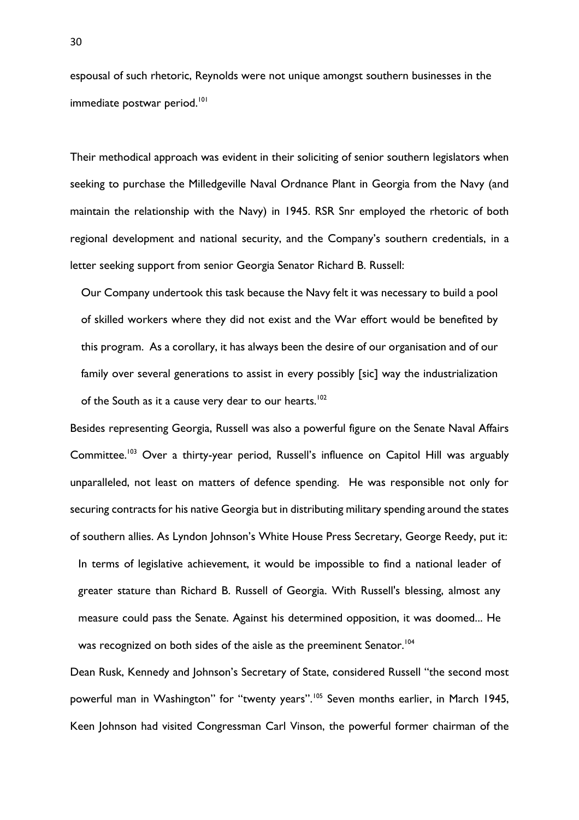espousal of such rhetoric, Reynolds were not unique amongst southern businesses in the immediate postwar period. 101

Their methodical approach was evident in their soliciting of senior southern legislators when seeking to purchase the Milledgeville Naval Ordnance Plant in Georgia from the Navy (and maintain the relationship with the Navy) in 1945. RSR Snr employed the rhetoric of both regional development and national security, and the Company's southern credentials, in a letter seeking support from senior Georgia Senator Richard B. Russell:

Our Company undertook this task because the Navy felt it was necessary to build a pool of skilled workers where they did not exist and the War effort would be benefited by this program. As a corollary, it has always been the desire of our organisation and of our family over several generations to assist in every possibly [sic] way the industrialization of the South as it a cause very dear to our hearts.<sup>102</sup>

Besides representing Georgia, Russell was also a powerful figure on the Senate Naval Affairs Committee.<sup>103</sup> Over a thirty-year period, Russell's influence on Capitol Hill was arguably unparalleled, not least on matters of defence spending. He was responsible not only for securing contracts for his native Georgia but in distributing military spending around the states of southern allies. As Lyndon Johnson's White House Press Secretary, George Reedy, put it: In terms of legislative achievement, it would be impossible to find a national leader of greater stature than Richard B. Russell of Georgia. With Russell's blessing, almost any measure could pass the Senate. Against his determined opposition, it was doomed... He was recognized on both sides of the aisle as the preeminent Senator.<sup>104</sup>

Dean Rusk, Kennedy and Johnson's Secretary of State, considered Russell "the second most powerful man in Washington" for "twenty years".<sup>105</sup> Seven months earlier, in March 1945, Keen Johnson had visited Congressman Carl Vinson, the powerful former chairman of the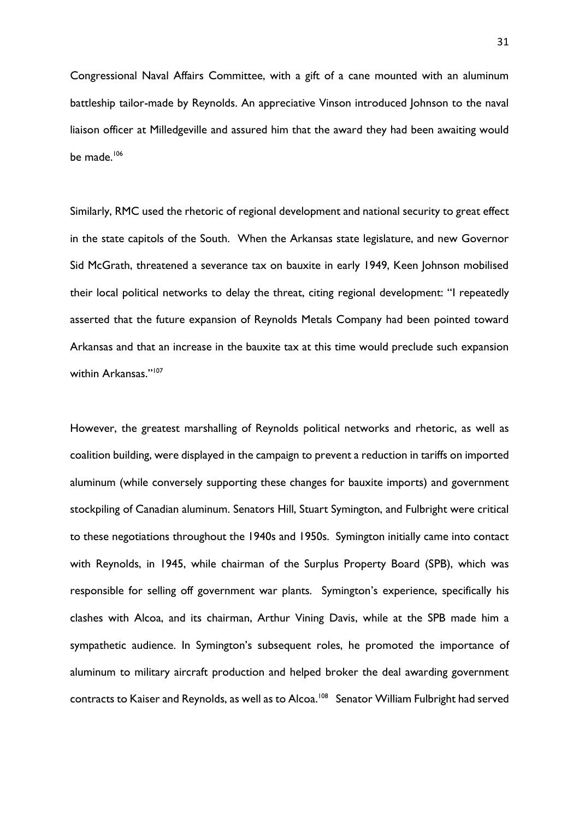Congressional Naval Affairs Committee, with a gift of a cane mounted with an aluminum battleship tailor-made by Reynolds. An appreciative Vinson introduced Johnson to the naval liaison officer at Milledgeville and assured him that the award they had been awaiting would be made.<sup>106</sup>

Similarly, RMC used the rhetoric of regional development and national security to great effect in the state capitols of the South. When the Arkansas state legislature, and new Governor Sid McGrath, threatened a severance tax on bauxite in early 1949, Keen Johnson mobilised their local political networks to delay the threat, citing regional development: "I repeatedly asserted that the future expansion of Reynolds Metals Company had been pointed toward Arkansas and that an increase in the bauxite tax at this time would preclude such expansion within Arkansas."<sup>107</sup>

However, the greatest marshalling of Reynolds political networks and rhetoric, as well as coalition building, were displayed in the campaign to prevent a reduction in tariffs on imported aluminum (while conversely supporting these changes for bauxite imports) and government stockpiling of Canadian aluminum. Senators Hill, Stuart Symington, and Fulbright were critical to these negotiations throughout the 1940s and 1950s. Symington initially came into contact with Reynolds, in 1945, while chairman of the Surplus Property Board (SPB), which was responsible for selling off government war plants. Symington's experience, specifically his clashes with Alcoa, and its chairman, Arthur Vining Davis, while at the SPB made him a sympathetic audience. In Symington's subsequent roles, he promoted the importance of aluminum to military aircraft production and helped broker the deal awarding government contracts to Kaiser and Reynolds, as well as to Alcoa.<sup>108</sup> Senator William Fulbright had served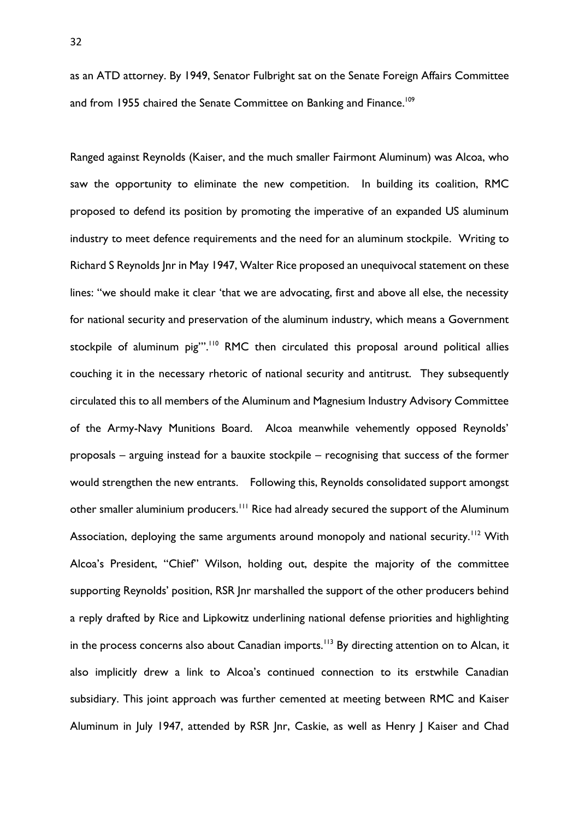as an ATD attorney. By 1949, Senator Fulbright sat on the Senate Foreign Affairs Committee and from 1955 chaired the Senate Committee on Banking and Finance.<sup>109</sup>

Ranged against Reynolds (Kaiser, and the much smaller Fairmont Aluminum) was Alcoa, who saw the opportunity to eliminate the new competition. In building its coalition, RMC proposed to defend its position by promoting the imperative of an expanded US aluminum industry to meet defence requirements and the need for an aluminum stockpile. Writing to Richard S Reynolds Jnr in May 1947, Walter Rice proposed an unequivocal statement on these lines: "we should make it clear 'that we are advocating, first and above all else, the necessity for national security and preservation of the aluminum industry, which means a Government stockpile of aluminum pig"'.<sup>110</sup> RMC then circulated this proposal around political allies couching it in the necessary rhetoric of national security and antitrust. They subsequently circulated this to all members of the Aluminum and Magnesium Industry Advisory Committee of the Army-Navy Munitions Board. Alcoa meanwhile vehemently opposed Reynolds' proposals – arguing instead for a bauxite stockpile – recognising that success of the former would strengthen the new entrants. Following this, Reynolds consolidated support amongst other smaller aluminium producers.<sup>111</sup> Rice had already secured the support of the Aluminum Association, deploying the same arguments around monopoly and national security.<sup>112</sup> With Alcoa's President, "Chief" Wilson, holding out, despite the majority of the committee supporting Reynolds' position, RSR Jnr marshalled the support of the other producers behind a reply drafted by Rice and Lipkowitz underlining national defense priorities and highlighting in the process concerns also about Canadian imports.<sup>113</sup> By directing attention on to Alcan, it also implicitly drew a link to Alcoa's continued connection to its erstwhile Canadian subsidiary. This joint approach was further cemented at meeting between RMC and Kaiser Aluminum in July 1947, attended by RSR Jnr, Caskie, as well as Henry J Kaiser and Chad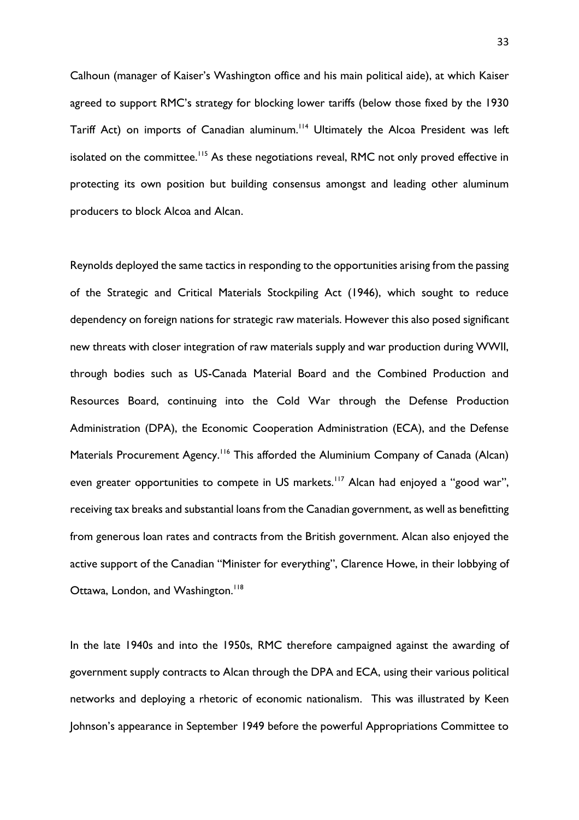Calhoun (manager of Kaiser's Washington office and his main political aide), at which Kaiser agreed to support RMC's strategy for blocking lower tariffs (below those fixed by the 1930 Tariff Act) on imports of Canadian aluminum.<sup>114</sup> Ultimately the Alcoa President was left isolated on the committee.<sup>115</sup> As these negotiations reveal, RMC not only proved effective in protecting its own position but building consensus amongst and leading other aluminum producers to block Alcoa and Alcan.

Reynolds deployed the same tactics in responding to the opportunities arising from the passing of the Strategic and Critical Materials Stockpiling Act (1946), which sought to reduce dependency on foreign nations for strategic raw materials. However this also posed significant new threats with closer integration of raw materials supply and war production during WWII, through bodies such as US-Canada Material Board and the Combined Production and Resources Board, continuing into the Cold War through the Defense Production Administration (DPA), the Economic Cooperation Administration (ECA), and the Defense Materials Procurement Agency.<sup>116</sup> This afforded the Aluminium Company of Canada (Alcan) even greater opportunities to compete in US markets.<sup>117</sup> Alcan had enjoyed a "good war", receiving tax breaks and substantial loans from the Canadian government, as well as benefitting from generous loan rates and contracts from the British government. Alcan also enjoyed the active support of the Canadian "Minister for everything", Clarence Howe, in their lobbying of Ottawa, London, and Washington.<sup>118</sup>

In the late 1940s and into the 1950s, RMC therefore campaigned against the awarding of government supply contracts to Alcan through the DPA and ECA, using their various political networks and deploying a rhetoric of economic nationalism. This was illustrated by Keen Johnson's appearance in September 1949 before the powerful Appropriations Committee to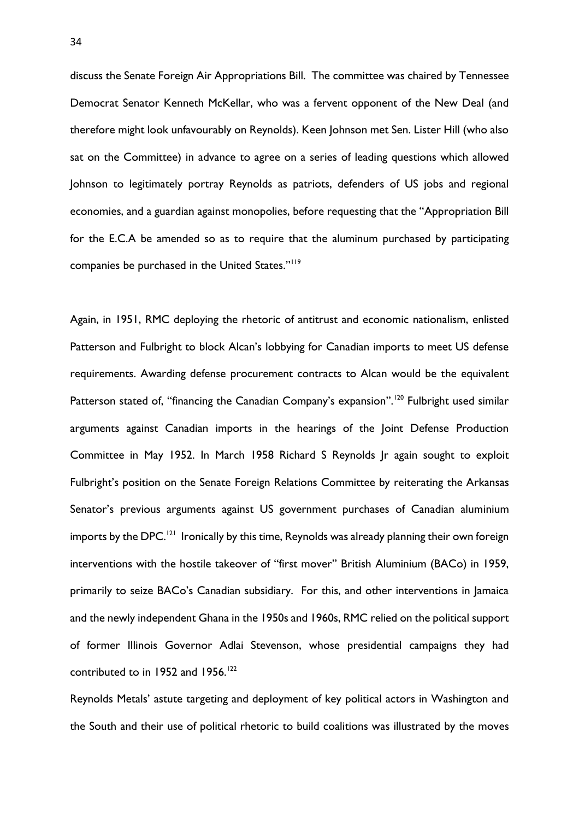discuss the Senate Foreign Air Appropriations Bill. The committee was chaired by Tennessee Democrat Senator Kenneth McKellar, who was a fervent opponent of the New Deal (and therefore might look unfavourably on Reynolds). Keen Johnson met Sen. Lister Hill (who also sat on the Committee) in advance to agree on a series of leading questions which allowed Johnson to legitimately portray Reynolds as patriots, defenders of US jobs and regional economies, and a guardian against monopolies, before requesting that the "Appropriation Bill for the E.C.A be amended so as to require that the aluminum purchased by participating companies be purchased in the United States."<sup>119</sup>

Again, in 1951, RMC deploying the rhetoric of antitrust and economic nationalism, enlisted Patterson and Fulbright to block Alcan's lobbying for Canadian imports to meet US defense requirements. Awarding defense procurement contracts to Alcan would be the equivalent Patterson stated of, "financing the Canadian Company's expansion".<sup>120</sup> Fulbright used similar arguments against Canadian imports in the hearings of the Joint Defense Production Committee in May 1952. In March 1958 Richard S Reynolds Jr again sought to exploit Fulbright's position on the Senate Foreign Relations Committee by reiterating the Arkansas Senator's previous arguments against US government purchases of Canadian aluminium imports by the DPC. $^{121}$  Ironically by this time, Reynolds was already planning their own foreign interventions with the hostile takeover of "first mover" British Aluminium (BACo) in 1959, primarily to seize BACo's Canadian subsidiary. For this, and other interventions in Jamaica and the newly independent Ghana in the 1950s and 1960s, RMC relied on the political support of former Illinois Governor Adlai Stevenson, whose presidential campaigns they had contributed to in 1952 and 1956.<sup>122</sup>

Reynolds Metals' astute targeting and deployment of key political actors in Washington and the South and their use of political rhetoric to build coalitions was illustrated by the moves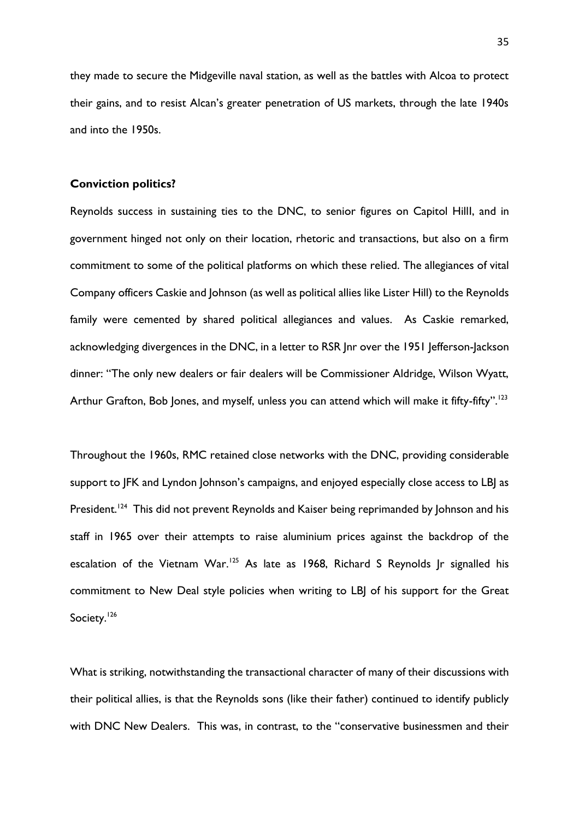they made to secure the Midgeville naval station, as well as the battles with Alcoa to protect their gains, and to resist Alcan's greater penetration of US markets, through the late 1940s and into the 1950s.

### **Conviction politics?**

Reynolds success in sustaining ties to the DNC, to senior figures on Capitol HillI, and in government hinged not only on their location, rhetoric and transactions, but also on a firm commitment to some of the political platforms on which these relied. The allegiances of vital Company officers Caskie and Johnson (as well as political allies like Lister Hill) to the Reynolds family were cemented by shared political allegiances and values. As Caskie remarked, acknowledging divergences in the DNC, in a letter to RSR Inr over the 1951 Jefferson-Jackson dinner: "The only new dealers or fair dealers will be Commissioner Aldridge, Wilson Wyatt, Arthur Grafton, Bob Jones, and myself, unless you can attend which will make it fifty-fifty". $^{123}$ 

Throughout the 1960s, RMC retained close networks with the DNC, providing considerable support to JFK and Lyndon Johnson's campaigns, and enjoyed especially close access to LBJ as President.<sup>124</sup> This did not prevent Reynolds and Kaiser being reprimanded by Johnson and his staff in 1965 over their attempts to raise aluminium prices against the backdrop of the escalation of the Vietnam War.<sup>125</sup> As late as 1968, Richard S Reynolds Jr signalled his commitment to New Deal style policies when writing to LBJ of his support for the Great Society.<sup>126</sup>

What is striking, notwithstanding the transactional character of many of their discussions with their political allies, is that the Reynolds sons (like their father) continued to identify publicly with DNC New Dealers. This was, in contrast, to the "conservative businessmen and their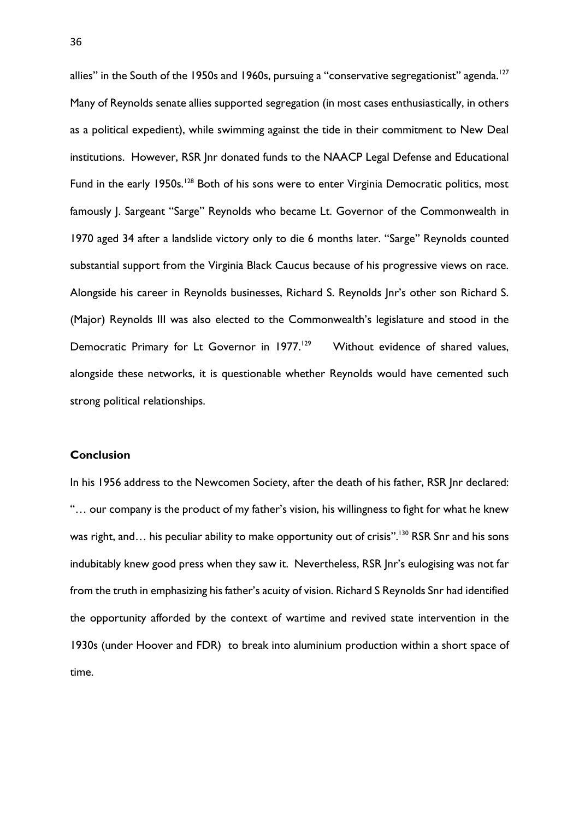allies" in the South of the 1950s and 1960s, pursuing a "conservative segregationist" agenda.<sup>127</sup> Many of Reynolds senate allies supported segregation (in most cases enthusiastically, in others as a political expedient), while swimming against the tide in their commitment to New Deal institutions. However, RSR Jnr donated funds to the NAACP Legal Defense and Educational Fund in the early 1950s.<sup>128</sup> Both of his sons were to enter Virginia Democratic politics, most famously J. Sargeant "Sarge" Reynolds who became Lt. Governor of the Commonwealth in 1970 aged 34 after a landslide victory only to die 6 months later. "Sarge" Reynolds counted substantial support from the Virginia Black Caucus because of his progressive views on race. Alongside his career in Reynolds businesses, Richard S. Reynolds Jnr's other son Richard S. (Major) Reynolds III was also elected to the Commonwealth's legislature and stood in the Democratic Primary for Lt Governor in 1977.<sup>129</sup> Without evidence of shared values, alongside these networks, it is questionable whether Reynolds would have cemented such strong political relationships.

# **Conclusion**

In his 1956 address to the Newcomen Society, after the death of his father, RSR Jnr declared: "… our company is the product of my father's vision, his willingness to fight for what he knew was right, and... his peculiar ability to make opportunity out of crisis".<sup>130</sup> RSR Snr and his sons indubitably knew good press when they saw it. Nevertheless, RSR Jnr's eulogising was not far from the truth in emphasizing his father's acuity of vision. Richard S Reynolds Snr had identified the opportunity afforded by the context of wartime and revived state intervention in the 1930s (under Hoover and FDR) to break into aluminium production within a short space of time.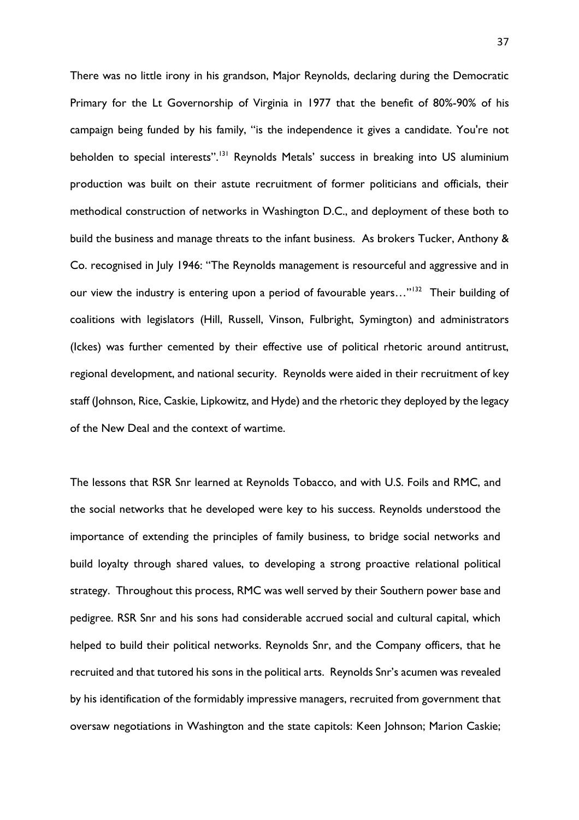There was no little irony in his grandson, Major Reynolds, declaring during the Democratic Primary for the Lt Governorship of Virginia in 1977 that the benefit of 80%-90% of his campaign being funded by his family, "is the independence it gives a candidate. You're not beholden to special interests".<sup>131</sup> Reynolds Metals' success in breaking into US aluminium production was built on their astute recruitment of former politicians and officials, their methodical construction of networks in Washington D.C., and deployment of these both to build the business and manage threats to the infant business. As brokers Tucker, Anthony & Co. recognised in July 1946: "The Reynolds management is resourceful and aggressive and in our view the industry is entering upon a period of favourable years..."<sup>132</sup> Their building of coalitions with legislators (Hill, Russell, Vinson, Fulbright, Symington) and administrators (Ickes) was further cemented by their effective use of political rhetoric around antitrust, regional development, and national security. Reynolds were aided in their recruitment of key staff (Johnson, Rice, Caskie, Lipkowitz, and Hyde) and the rhetoric they deployed by the legacy of the New Deal and the context of wartime.

The lessons that RSR Snr learned at Reynolds Tobacco, and with U.S. Foils and RMC, and the social networks that he developed were key to his success. Reynolds understood the importance of extending the principles of family business, to bridge social networks and build loyalty through shared values, to developing a strong proactive relational political strategy. Throughout this process, RMC was well served by their Southern power base and pedigree. RSR Snr and his sons had considerable accrued social and cultural capital, which helped to build their political networks. Reynolds Snr, and the Company officers, that he recruited and that tutored his sons in the political arts. Reynolds Snr's acumen was revealed by his identification of the formidably impressive managers, recruited from government that oversaw negotiations in Washington and the state capitols: Keen Johnson; Marion Caskie;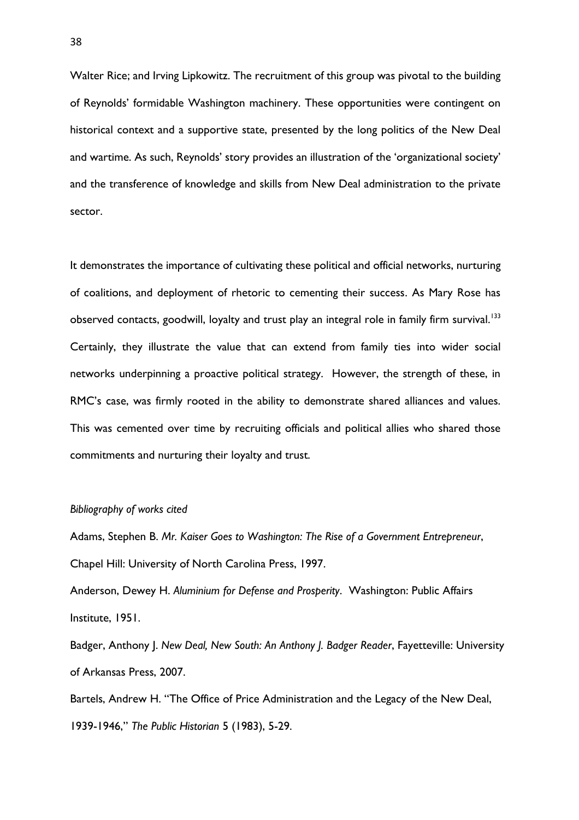Walter Rice; and Irving Lipkowitz. The recruitment of this group was pivotal to the building of Reynolds' formidable Washington machinery. These opportunities were contingent on historical context and a supportive state, presented by the long politics of the New Deal and wartime. As such, Reynolds' story provides an illustration of the 'organizational society' and the transference of knowledge and skills from New Deal administration to the private sector.

It demonstrates the importance of cultivating these political and official networks, nurturing of coalitions, and deployment of rhetoric to cementing their success. As Mary Rose has observed contacts, goodwill, loyalty and trust play an integral role in family firm survival.<sup>133</sup> Certainly, they illustrate the value that can extend from family ties into wider social networks underpinning a proactive political strategy. However, the strength of these, in RMC's case, was firmly rooted in the ability to demonstrate shared alliances and values. This was cemented over time by recruiting officials and political allies who shared those commitments and nurturing their loyalty and trust.

# *Bibliography of works cited*

Adams, Stephen B. *Mr. Kaiser Goes to Washington: The Rise of a Government Entrepreneur*, Chapel Hill: University of North Carolina Press, 1997.

Anderson, Dewey H. *Aluminium for Defense and Prosperity*. Washington: Public Affairs Institute, 1951.

Badger, Anthony J. *New Deal, New South: An Anthony J. Badger Reader*, Fayetteville: University of Arkansas Press, 2007.

Bartels, Andrew H. "The Office of Price Administration and the Legacy of the New Deal, 1939-1946," *The Public Historian* 5 (1983), 5-29.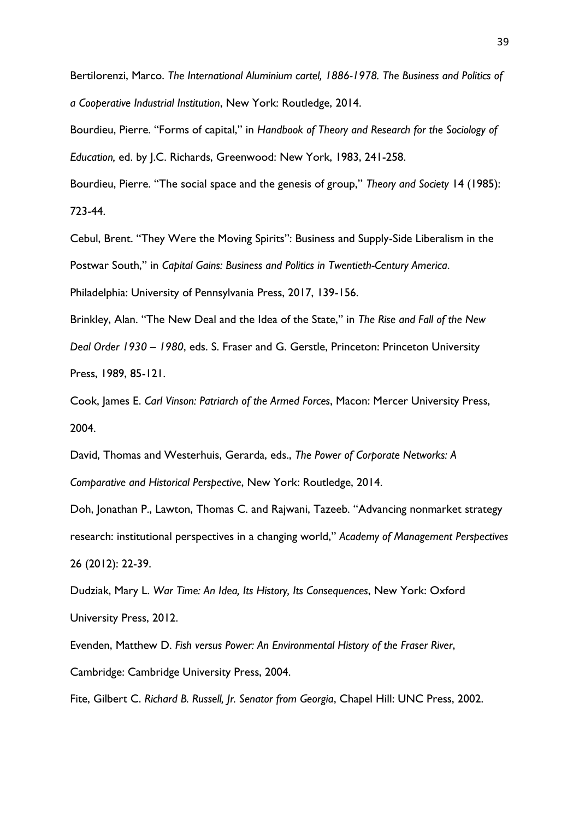Bertilorenzi, Marco. *The International Aluminium cartel, 1886-1978. The Business and Politics of a Cooperative Industrial Institution*, New York: Routledge, 2014.

Bourdieu, Pierre. "Forms of capital," in *Handbook of Theory and Research for the Sociology of Education,* ed. by J.C. Richards, Greenwood: New York, 1983, 241-258.

Bourdieu, Pierre. "The social space and the genesis of group," *Theory and Society* 14 (1985): 723-44.

Cebul, Brent. "They Were the Moving Spirits": Business and Supply-Side Liberalism in the Postwar South," in *Capital Gains: Business and Politics in Twentieth-Century America*. Philadelphia: University of Pennsylvania Press, 2017, 139-156.

Brinkley, Alan. "The New Deal and the Idea of the State," in *The Rise and Fall of the New Deal Order 1930 – 1980*, eds. S. Fraser and G. Gerstle, Princeton: Princeton University Press, 1989, 85-121.

Cook, James E. *Carl Vinson: Patriarch of the Armed Forces*, Macon: Mercer University Press, 2004.

David, Thomas and Westerhuis, Gerarda, eds., *The Power of Corporate Networks: A Comparative and Historical Perspective*, New York: Routledge, 2014.

Doh, Jonathan P., Lawton, Thomas C. and Rajwani, Tazeeb. "Advancing nonmarket strategy research: institutional perspectives in a changing world," *Academy of Management Perspectives* 26 (2012): 22-39.

Dudziak, Mary L. *War Time: An Idea, Its History, Its Consequences*, New York: Oxford University Press, 2012.

Evenden, Matthew D. *Fish versus Power: An Environmental History of the Fraser River*, Cambridge: Cambridge University Press, 2004.

Fite, Gilbert C. *Richard B. Russell, Jr. Senator from Georgia*, Chapel Hill: UNC Press, 2002.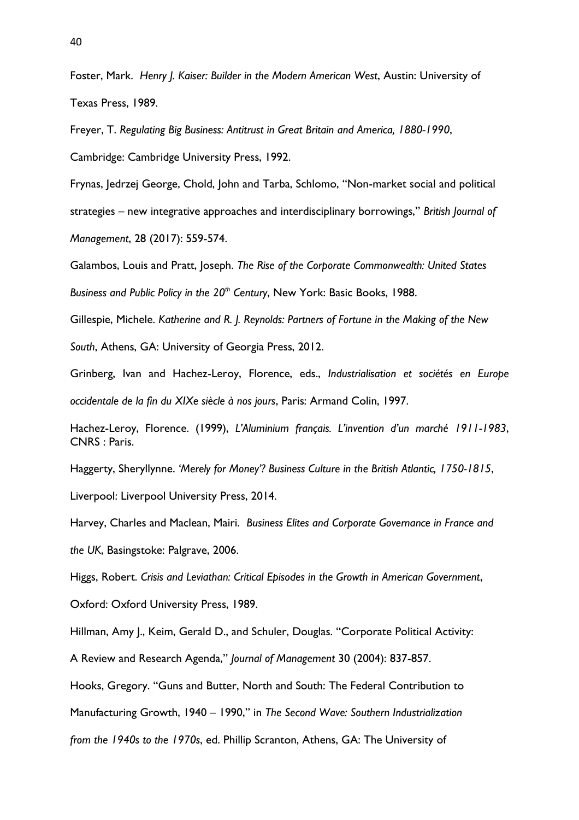Foster, Mark. *Henry J. Kaiser: Builder in the Modern American West*, Austin: University of Texas Press, 1989.

Freyer, T. *Regulating Big Business: Antitrust in Great Britain and America, 1880-1990*, Cambridge: Cambridge University Press, 1992.

Frynas, Jedrzej George, Chold, John and Tarba, Schlomo, "Non-market social and political strategies – new integrative approaches and interdisciplinary borrowings," *British Journal of Management*, 28 (2017): 559-574.

Galambos, Louis and Pratt, Joseph. *The Rise of the Corporate Commonwealth: United States Business and Public Policy in the 20th Century*, New York: Basic Books, 1988.

Gillespie, Michele. *Katherine and R. J. Reynolds: Partners of Fortune in the Making of the New* 

*South*, Athens, GA: University of Georgia Press, 2012.

Grinberg, Ivan and Hachez-Leroy, Florence, eds., *Industrialisation et sociétés en Europe occidentale de la fin du XIXe siècle à nos jours*, Paris: Armand Colin, 1997.

Hachez-Leroy, Florence. (1999), *L'Aluminium français. L'invention d'un marché 1911-1983*, CNRS : Paris.

Haggerty, Sheryllynne. *'Merely for Money'? Business Culture in the British Atlantic, 1750-1815*,

Liverpool: Liverpool University Press, 2014.

Harvey, Charles and Maclean, Mairi. *Business Elites and Corporate Governance in France and the UK*, Basingstoke: Palgrave, 2006.

Higgs, Robert. *Crisis and Leviathan: Critical Episodes in the Growth in American Government*,

Oxford: Oxford University Press, 1989.

Hillman, Amy J., Keim, Gerald D., and Schuler, Douglas. "Corporate Political Activity:

A Review and Research Agenda," *Journal of Management* 30 (2004): 837-857.

Hooks, Gregory. "Guns and Butter, North and South: The Federal Contribution to

Manufacturing Growth, 1940 – 1990," in *The Second Wave: Southern Industrialization* 

*from the 1940s to the 1970s*, ed. Phillip Scranton, Athens, GA: The University of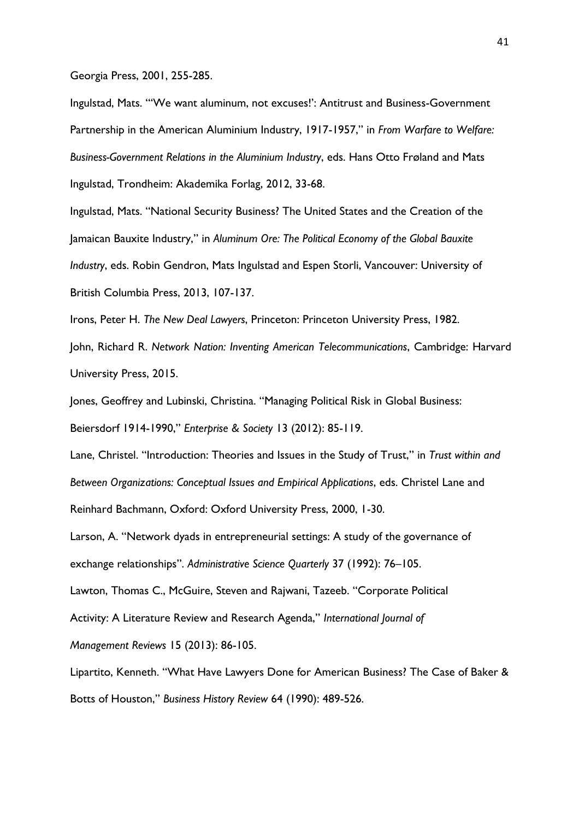Georgia Press, 2001, 255-285.

Ingulstad, Mats. "'We want aluminum, not excuses!': Antitrust and Business-Government Partnership in the American Aluminium Industry, 1917-1957," in *From Warfare to Welfare: Business-Government Relations in the Aluminium Industry*, eds. Hans Otto Frøland and Mats Ingulstad, Trondheim: Akademika Forlag, 2012, 33-68.

Ingulstad, Mats. "National Security Business? The United States and the Creation of the Jamaican Bauxite Industry," in *Aluminum Ore: The Political Economy of the Global Bauxite Industry*, eds. Robin Gendron, Mats Ingulstad and Espen Storli, Vancouver: University of British Columbia Press, 2013, 107-137.

Irons, Peter H. *The New Deal Lawyers*, Princeton: Princeton University Press, 1982.

John, Richard R. *Network Nation: Inventing American Telecommunications*, Cambridge: Harvard University Press, 2015.

Jones, Geoffrey and Lubinski, Christina. "Managing Political Risk in Global Business: Beiersdorf 1914-1990," *Enterprise & Society* 13 (2012): 85-119.

Lane, Christel. "Introduction: Theories and Issues in the Study of Trust," in *Trust within and Between Organizations: Conceptual Issues and Empirical Applications*, eds. Christel Lane and

Reinhard Bachmann, Oxford: Oxford University Press, 2000, 1-30.

Larson, A. "Network dyads in entrepreneurial settings: A study of the governance of exchange relationships". *Administrative Science Quarterly* 37 (1992): 76–105.

Lawton, Thomas C., McGuire, Steven and Rajwani, Tazeeb. "Corporate Political

Activity: A Literature Review and Research Agenda," *International Journal of* 

*Management Reviews* 15 (2013): 86-105.

Lipartito, Kenneth. "What Have Lawyers Done for American Business? The Case of Baker & Botts of Houston," *Business History Review* 64 (1990): 489-526.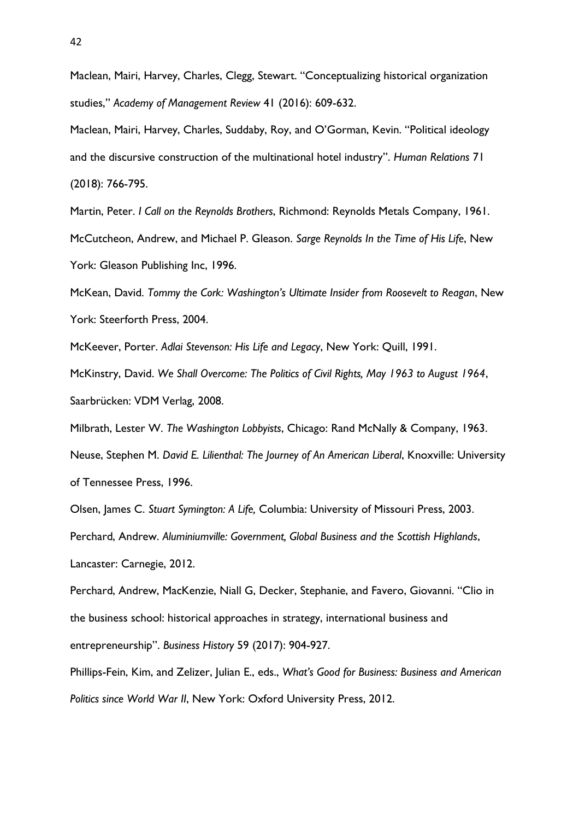Maclean, Mairi, Harvey, Charles, Clegg, Stewart. "Conceptualizing historical organization studies," *Academy of Management Review* 41 (2016): 609-632.

Maclean, Mairi, Harvey, Charles, Suddaby, Roy, and O'Gorman, Kevin. "Political ideology and the discursive construction of the multinational hotel industry". *Human Relations* 71 (2018): 766-795.

Martin, Peter. *I Call on the Reynolds Brothers*, Richmond: Reynolds Metals Company, 1961. McCutcheon, Andrew, and Michael P. Gleason. *Sarge Reynolds In the Time of His Life*, New York: Gleason Publishing Inc, 1996.

McKean, David. *Tommy the Cork: Washington's Ultimate Insider from Roosevelt to Reagan*, New York: Steerforth Press, 2004.

McKeever, Porter. *Adlai Stevenson: His Life and Legacy*, New York: Quill, 1991.

McKinstry, David. *We Shall Overcome: The Politics of Civil Rights, May 1963 to August 1964*, Saarbrücken: VDM Verlag, 2008.

Milbrath, Lester W. *The Washington Lobbyists*, Chicago: Rand McNally & Company, 1963. Neuse, Stephen M. *David E. Lilienthal: The Journey of An American Liberal*, Knoxville: University of Tennessee Press, 1996.

Olsen, James C. *Stuart Symington: A Life,* Columbia: University of Missouri Press, 2003. Perchard, Andrew. *Aluminiumville: Government, Global Business and the Scottish Highlands*, Lancaster: Carnegie, 2012.

Perchard, Andrew, MacKenzie, Niall G, Decker, Stephanie, and Favero, Giovanni. "Clio in the business school: historical approaches in strategy, international business and entrepreneurship". *Business History* 59 (2017): 904-927.

Phillips-Fein, Kim, and Zelizer, Julian E., eds., *What's Good for Business: Business and American Politics since World War II*, New York: Oxford University Press, 2012.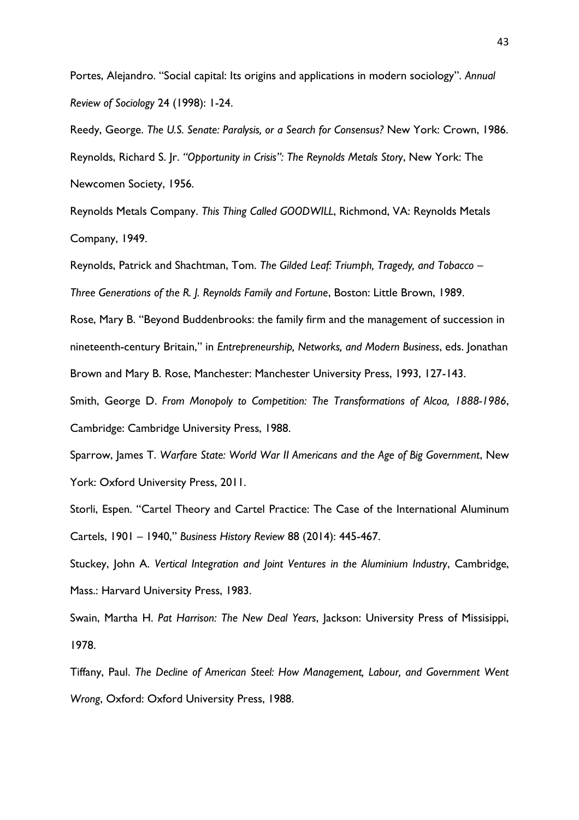Portes, Alejandro. "Social capital: Its origins and applications in modern sociology". *Annual Review of Sociology* 24 (1998): 1-24.

Reedy, George. *The U.S. Senate: Paralysis, or a Search for Consensus?* New York: Crown, 1986. Reynolds, Richard S. Jr. *"Opportunity in Crisis": The Reynolds Metals Story*, New York: The Newcomen Society, 1956.

Reynolds Metals Company. *This Thing Called GOODWILL*, Richmond, VA: Reynolds Metals Company, 1949.

Reynolds, Patrick and Shachtman, Tom. *The Gilded Leaf: Triumph, Tragedy, and Tobacco – Three Generations of the R. J. Reynolds Family and Fortune*, Boston: Little Brown, 1989.

Rose, Mary B. "Beyond Buddenbrooks: the family firm and the management of succession in nineteenth-century Britain," in *Entrepreneurship, Networks, and Modern Business*, eds. Jonathan Brown and Mary B. Rose, Manchester: Manchester University Press, 1993, 127-143.

Smith, George D. *From Monopoly to Competition: The Transformations of Alcoa, 1888-1986*, Cambridge: Cambridge University Press, 1988.

Sparrow, James T. *Warfare State: World War II Americans and the Age of Big Government*, New York: Oxford University Press, 2011.

Storli, Espen. "Cartel Theory and Cartel Practice: The Case of the International Aluminum Cartels, 1901 – 1940," *Business History Review* 88 (2014): 445-467.

Stuckey, John A. *Vertical Integration and Joint Ventures in the Aluminium Industry*, Cambridge, Mass.: Harvard University Press, 1983.

Swain, Martha H. *Pat Harrison: The New Deal Years*, Jackson: University Press of Missisippi, 1978.

Tiffany, Paul. *The Decline of American Steel: How Management, Labour, and Government Went Wrong*, Oxford: Oxford University Press, 1988.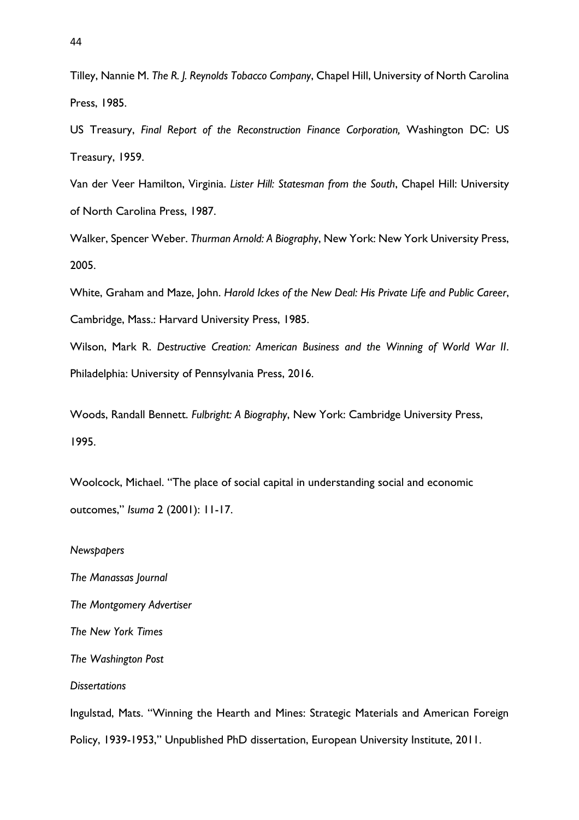Tilley, Nannie M. *The R. J. Reynolds Tobacco Company*, Chapel Hill, University of North Carolina Press, 1985.

US Treasury, *Final Report of the Reconstruction Finance Corporation,* Washington DC: US Treasury, 1959.

Van der Veer Hamilton, Virginia. *Lister Hill: Statesman from the South*, Chapel Hill: University of North Carolina Press, 1987.

Walker, Spencer Weber. *Thurman Arnold: A Biography*, New York: New York University Press, 2005.

White, Graham and Maze, John. *Harold Ickes of the New Deal: His Private Life and Public Career*, Cambridge, Mass.: Harvard University Press, 1985.

Wilson, Mark R. *Destructive Creation: American Business and the Winning of World War II*. Philadelphia: University of Pennsylvania Press, 2016.

Woods, Randall Bennett. *Fulbright: A Biography*, New York: Cambridge University Press, 1995.

Woolcock, Michael. "The place of social capital in understanding social and economic outcomes," *Isuma* 2 (2001): 11-17.

*Newspapers*

*The Manassas Journal*

*The Montgomery Advertiser*

*The New York Times*

*The Washington Post*

*Dissertations*

Ingulstad, Mats. "Winning the Hearth and Mines: Strategic Materials and American Foreign Policy, 1939-1953," Unpublished PhD dissertation, European University Institute, 2011.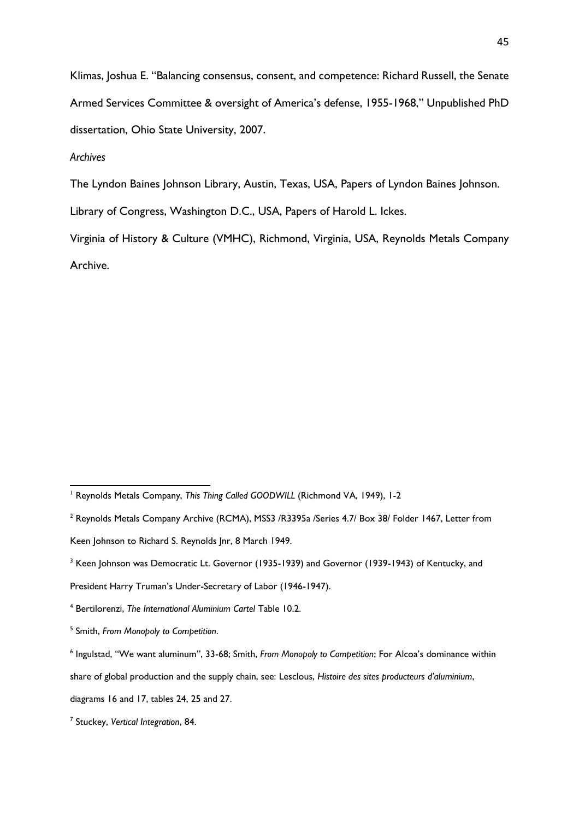Klimas, Joshua E. "Balancing consensus, consent, and competence: Richard Russell, the Senate Armed Services Committee & oversight of America's defense, 1955-1968," Unpublished PhD dissertation, Ohio State University, 2007.

# *Archives*

The Lyndon Baines Johnson Library, Austin, Texas, USA, Papers of Lyndon Baines Johnson.

Library of Congress, Washington D.C., USA, Papers of Harold L. Ickes.

Virginia of History & Culture (VMHC), Richmond, Virginia, USA, Reynolds Metals Company Archive.

<sup>1</sup> Reynolds Metals Company, *This Thing Called GOODWILL* (Richmond VA, 1949), 1-2 l

<sup>&</sup>lt;sup>2</sup> Reynolds Metals Company Archive (RCMA), MSS3 /R3395a /Series 4.7/ Box 38/ Folder 1467, Letter from Keen Johnson to Richard S. Reynolds Jnr, 8 March 1949.

<sup>&</sup>lt;sup>3</sup> Keen Johnson was Democratic Lt. Governor (1935-1939) and Governor (1939-1943) of Kentucky, and

President Harry Truman's Under-Secretary of Labor (1946-1947).

<sup>4</sup> Bertilorenzi, *The International Aluminium Cartel* Table 10.2.

<sup>5</sup> Smith, *From Monopoly to Competition*.

<sup>6</sup> Ingulstad, "We want aluminum", 33-68; Smith, *From Monopoly to Competition*; For Alcoa's dominance within

share of global production and the supply chain, see: Lesclous, *Histoire des sites producteurs d'aluminium*,

diagrams 16 and 17, tables 24, 25 and 27.

<sup>7</sup> Stuckey, *Vertical Integration*, 84.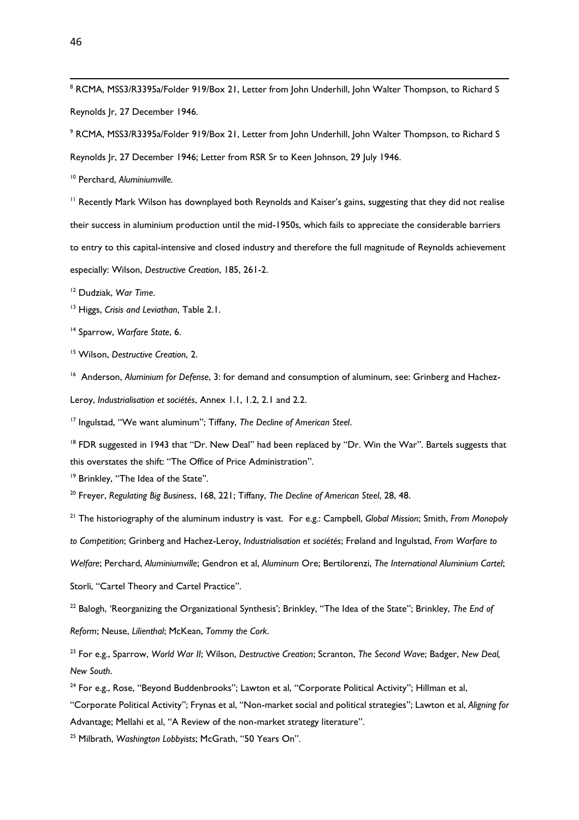j  $^{\rm 8}$  RCMA, MSS3/R3395a/Folder 919/Box 21, Letter from John Underhill, John Walter Thompson, to Richard S Reynolds Jr, 27 December 1946.

<sup>9</sup> RCMA, MSS3/R3395a/Folder 919/Box 21, Letter from John Underhill, John Walter Thompson, to Richard S Reynolds Jr, 27 December 1946; Letter from RSR Sr to Keen Johnson, 29 July 1946.

<sup>10</sup> Perchard, *Aluminiumville.*

<sup>11</sup> Recently Mark Wilson has downplayed both Reynolds and Kaiser's gains, suggesting that they did not realise their success in aluminium production until the mid-1950s, which fails to appreciate the considerable barriers to entry to this capital-intensive and closed industry and therefore the full magnitude of Reynolds achievement especially: Wilson, *Destructive Creation*, 185, 261-2.

<sup>12</sup> Dudziak, *War Time*.

<sup>13</sup> Higgs, *Crisis and Leviathan*, Table 2.1.

<sup>14</sup> Sparrow, *Warfare State*, 6.

<sup>15</sup> Wilson, *Destructive Creation*, 2.

<sup>16</sup> Anderson, *Aluminium for Defense*, 3: for demand and consumption of aluminum, see: Grinberg and Hachez-

Leroy, *Industrialisation et sociétés*, Annex 1.1, 1.2, 2.1 and 2.2.

<sup>17</sup> Ingulstad, "We want aluminum"; Tiffany, *The Decline of American Steel*.

 $18$  FDR suggested in 1943 that "Dr. New Deal" had been replaced by "Dr. Win the War". Bartels suggests that this overstates the shift: "The Office of Price Administration".

<sup>19</sup> Brinkley, "The Idea of the State".

<sup>20</sup> Freyer, *Regulating Big Busines*s, 168, 221; Tiffany, *The Decline of American Steel*, 28, 48.

<sup>21</sup> The historiography of the aluminum industry is vast. For e.g.: Campbell, *Global Mission*; Smith, *From Monopoly* 

*to Competition*; Grinberg and Hachez-Leroy, *Industrialisation et sociétés*; Frøland and Ingulstad, *From Warfare to* 

*Welfare*; Perchard, *Aluminiumville*; Gendron et al, *Aluminum* Ore; Bertilorenzi, *The International Aluminium Cartel*;

Storli, "Cartel Theory and Cartel Practice".

<sup>22</sup> Balogh, 'Reorganizing the Organizational Synthesis'; Brinkley, "The Idea of the State"; Brinkley, *The End of Reform*; Neuse, *Lilienthal*; McKean, *Tommy the Cork*.

<sup>23</sup> For e.g., Sparrow, *World War II*; Wilson, *Destructive Creation*; Scranton, *The Second Wave*; Badger, *New Deal, New South*.

<sup>24</sup> For e.g., Rose, "Beyond Buddenbrooks"; Lawton et al, "Corporate Political Activity"; Hillman et al,

"Corporate Political Activity"; Frynas et al, "Non-market social and political strategies"; Lawton et al, *Aligning for*  Advantage; Mellahi et al, "A Review of the non-market strategy literature".

<sup>25</sup> Milbrath, *Washington Lobbyists*; McGrath, "50 Years On".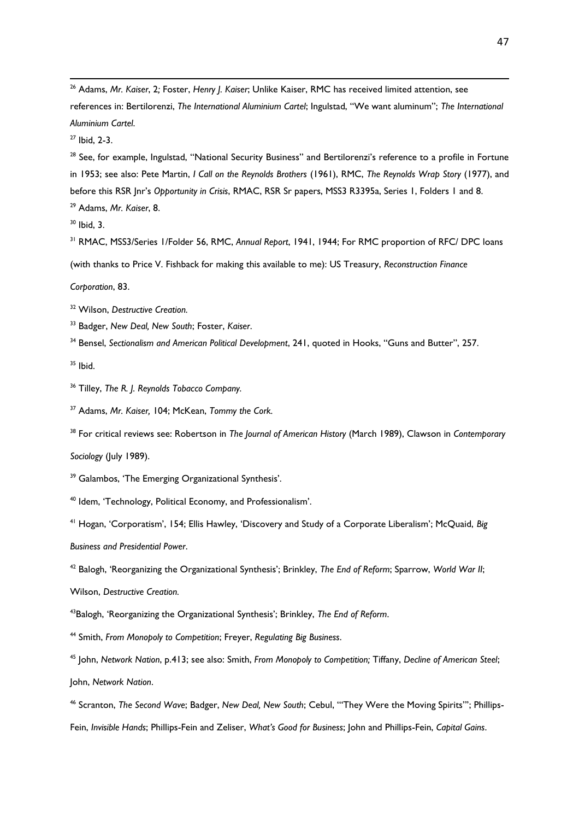j <sup>26</sup> Adams, *Mr. Kaiser*, 2*;* Foster, *Henry J. Kaiser*; Unlike Kaiser, RMC has received limited attention, see references in: Bertilorenzi, *The International Aluminium Cartel*; Ingulstad, "We want aluminum"; *The International Aluminium Cartel*.

<sup>27</sup> Ibid, 2-3.

<sup>28</sup> See, for example, Ingulstad, "National Security Business" and Bertilorenzi's reference to a profile in Fortune in 1953; see also: Pete Martin, *I Call on the Reynolds Brothers* (1961), RMC, *The Reynolds Wrap Story* (1977), and before this RSR Jnr's *Opportunity in Crisis*, RMAC, RSR Sr papers, MSS3 R3395a, Series 1, Folders 1 and 8. <sup>29</sup> Adams, *Mr. Kaiser*, 8.

 $30$  Ibid, 3.

<sup>31</sup> RMAC, MSS3/Series 1/Folder 56, RMC, *Annual Report*, 1941, 1944; For RMC proportion of RFC/ DPC loans

(with thanks to Price V. Fishback for making this available to me): US Treasury, *Reconstruction Finance* 

*Corporation*, 83.

<sup>32</sup> Wilson, *Destructive Creation.*

<sup>33</sup> Badger, *New Deal, New South*; Foster, *Kaiser*.

<sup>34</sup> Bensel, *Sectionalism and American Political Development*, 241, quoted in Hooks, "Guns and Butter", 257.

 $35$  Ibid.

<sup>36</sup> Tilley, *The R. J. Reynolds Tobacco Company.*

<sup>37</sup> Adams, *Mr. Kaiser,* 104; McKean, *Tommy the Cork.*

<sup>38</sup> For critical reviews see: Robertson in *The Journal of American History* (March 1989), Clawson in *Contemporary Sociology* (July 1989).

<sup>39</sup> Galambos, 'The Emerging Organizational Synthesis'.

<sup>40</sup> Idem, 'Technology, Political Economy, and Professionalism'.

<sup>41</sup> Hogan, 'Corporatism', 154; Ellis Hawley, 'Discovery and Study of a Corporate Liberalism'; McQuaid, *Big* 

*Business and Presidential Power*.

<sup>42</sup> Balogh, 'Reorganizing the Organizational Synthesis'; Brinkley, *The End of Reform*; Sparrow, *World War II*;

Wilson, *Destructive Creation.*

<sup>43</sup>Balogh, 'Reorganizing the Organizational Synthesis'; Brinkley, *The End of Reform*.

<sup>44</sup> Smith, *From Monopoly to Competition*; Freyer, *Regulating Big Business*.

<sup>45</sup> John, *Network Nation*, p.413; see also: Smith, *From Monopoly to Competition;* Tiffany, *Decline of American Steel*;

John, *Network Nation*.

<sup>46</sup> Scranton, *The Second Wave*; Badger, *New Deal, New South*; Cebul, "'They Were the Moving Spirits"'; Phillips-Fein, *Invisible Hands*; Phillips-Fein and Zeliser, *What's Good for Business*; John and Phillips-Fein, *Capital Gains*.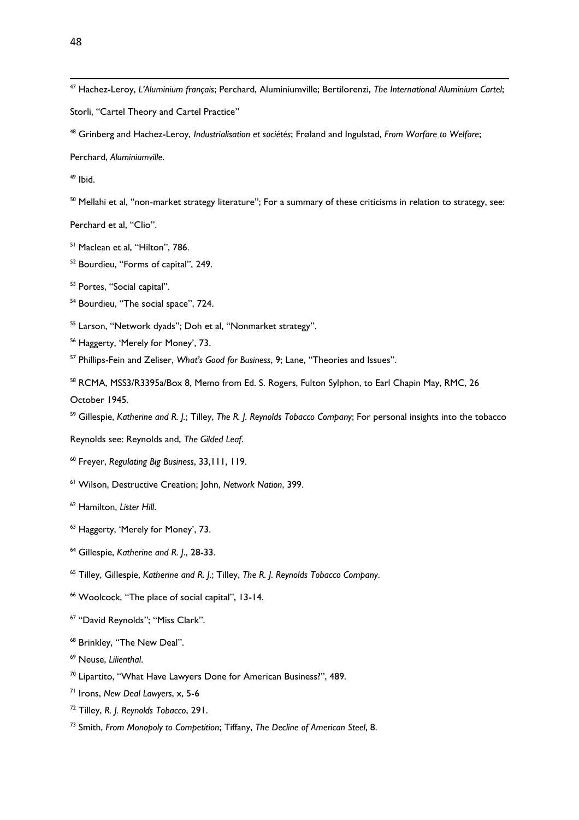j

Hachez-Leroy, *L'Aluminium français*; Perchard, Aluminiumville; Bertilorenzi, *The International Aluminium Cartel*;

Storli, "Cartel Theory and Cartel Practice"

Grinberg and Hachez-Leroy, *Industrialisation et sociétés*; Frøland and Ingulstad, *From Warfare to Welfare*;

Perchard, *Aluminiumville*.

Ibid.

<sup>50</sup> Mellahi et al, "non-market strategy literature"; For a summary of these criticisms in relation to strategy, see:

Perchard et al, "Clio".

- <sup>51</sup> Maclean et al, "Hilton", 786.
- Bourdieu, "Forms of capital", 249.
- Portes, "Social capital".
- <sup>54</sup> Bourdieu, "The social space", 724.
- Larson, "Network dyads"; Doh et al, "Nonmarket strategy".
- Haggerty, 'Merely for Money', 73.
- Phillips-Fein and Zeliser, *What's Good for Business*, 9; Lane, "Theories and Issues".

<sup>58</sup> RCMA, MSS3/R3395a/Box 8, Memo from Ed. S. Rogers, Fulton Sylphon, to Earl Chapin May, RMC, 26 October 1945.

Gillespie, *Katherine and R. J.*; Tilley, *The R. J. Reynolds Tobacco Company*; For personal insights into the tobacco

Reynolds see: Reynolds and, *The Gilded Leaf*.

Freyer, *Regulating Big Business*, 33,111, 119.

- Wilson, Destructive Creation; John, *Network Nation*, 399.
- Hamilton, *Lister Hill*.
- Haggerty, 'Merely for Money', 73.
- Gillespie, *Katherine and R. J*., 28-33.
- Tilley, Gillespie, *Katherine and R. J.*; Tilley, *The R. J. Reynolds Tobacco Company*.
- Woolcock, "The place of social capital", 13-14.
- "David Reynolds"; "Miss Clark".
- <sup>68</sup> Brinkley, "The New Deal".
- Neuse, *Lilienthal*.
- Lipartito, "What Have Lawyers Done for American Business?", 489.
- Irons, *New Deal Lawyers*, x, 5-6
- Tilley, *R. J. Reynolds Tobacco*, 291.
- Smith, *From Monopoly to Competition*; Tiffany, *The Decline of American Steel*, 8.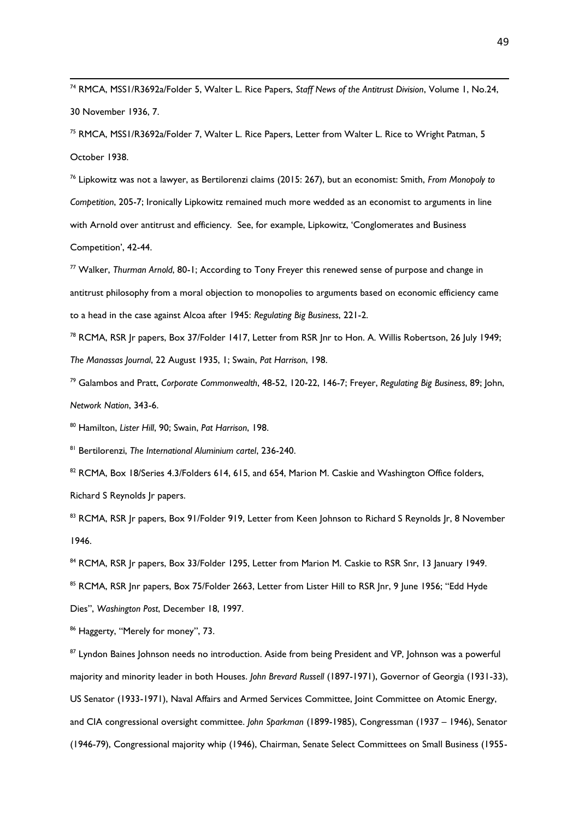i <sup>74</sup> RMCA, MSS1/R3692a/Folder 5, Walter L. Rice Papers, *Staff News of the Antitrust Division*, Volume 1, No.24, 30 November 1936, 7.

<sup>75</sup> RMCA, MSS1/R3692a/Folder 7, Walter L. Rice Papers, Letter from Walter L. Rice to Wright Patman, 5 October 1938.

<sup>76</sup> Lipkowitz was not a lawyer, as Bertilorenzi claims (2015: 267), but an economist: Smith, *From Monopoly to Competition*, 205-7; Ironically Lipkowitz remained much more wedded as an economist to arguments in line with Arnold over antitrust and efficiency. See, for example, Lipkowitz, 'Conglomerates and Business Competition', 42-44.

<sup>77</sup> Walker, *Thurman Arnold*, 80-1; According to Tony Freyer this renewed sense of purpose and change in antitrust philosophy from a moral objection to monopolies to arguments based on economic efficiency came to a head in the case against Alcoa after 1945: *Regulating Big Business*, 221-2.

<sup>78</sup> RCMA, RSR Jr papers, Box 37/Folder 1417, Letter from RSR Jnr to Hon. A. Willis Robertson, 26 July 1949; *The Manassas Journal*, 22 August 1935, 1; Swain, *Pat Harrison*, 198.

<sup>79</sup> Galambos and Pratt, *Corporate Commonwealth*, 48-52, 120-22, 146-7; Freyer, *Regulating Big Business*, 89; John, *Network Nation*, 343-6.

<sup>80</sup> Hamilton, *Lister Hill*, 90; Swain, *Pat Harrison*, 198.

<sup>81</sup> Bertilorenzi, *The International Aluminium cartel*, 236-240.

82 RCMA, Box 18/Series 4.3/Folders 614, 615, and 654, Marion M. Caskie and Washington Office folders, Richard S Reynolds Jr papers.

83 RCMA, RSR Ir papers, Box 91/Folder 919, Letter from Keen Johnson to Richard S Reynolds Ir, 8 November 1946.

84 RCMA, RSR Ir papers, Box 33/Folder 1295, Letter from Marion M. Caskie to RSR Snr, 13 January 1949. 85 RCMA, RSR Inr papers, Box 75/Folder 2663, Letter from Lister Hill to RSR Inr, 9 June 1956; "Edd Hyde Dies", *Washington Post*, December 18, 1997.

86 Haggerty, "Merely for money", 73.

<sup>87</sup> Lyndon Baines Johnson needs no introduction. Aside from being President and VP, Johnson was a powerful majority and minority leader in both Houses. *John Brevard Russell* (1897-1971), Governor of Georgia (1931-33), US Senator (1933-1971), Naval Affairs and Armed Services Committee, Joint Committee on Atomic Energy, and CIA congressional oversight committee. *John Sparkman* (1899-1985), Congressman (1937 – 1946), Senator (1946-79), Congressional majority whip (1946), Chairman, Senate Select Committees on Small Business (1955-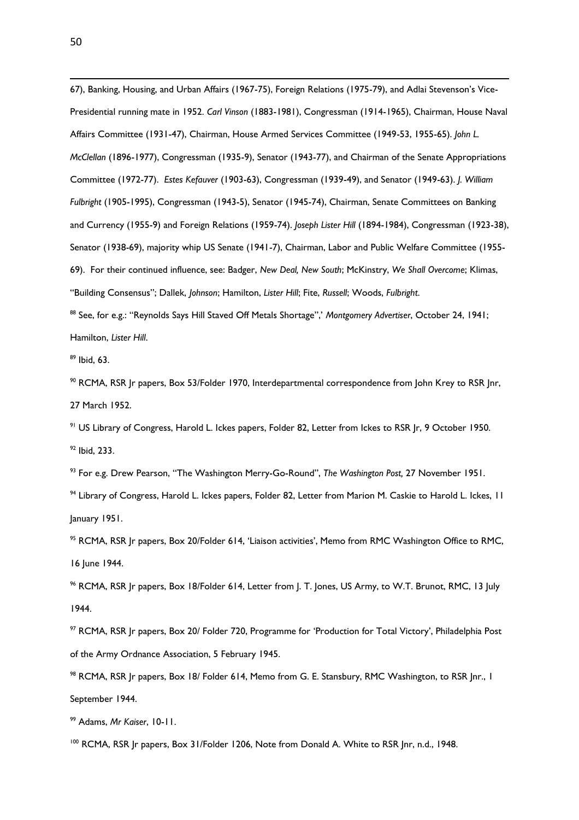i 67), Banking, Housing, and Urban Affairs (1967-75), Foreign Relations (1975-79), and Adlai Stevenson's Vice-Presidential running mate in 1952. *Carl Vinson* (1883-1981), Congressman (1914-1965), Chairman, House Naval Affairs Committee (1931-47), Chairman, House Armed Services Committee (1949-53, 1955-65). *John L. McClellan* (1896-1977), Congressman (1935-9), Senator (1943-77), and Chairman of the Senate Appropriations Committee (1972-77). *Estes Kefauver* (1903-63), Congressman (1939-49), and Senator (1949-63). *J. William Fulbright* (1905-1995), Congressman (1943-5), Senator (1945-74), Chairman, Senate Committees on Banking and Currency (1955-9) and Foreign Relations (1959-74). *Joseph Lister Hill* (1894-1984), Congressman (1923-38), Senator (1938-69), majority whip US Senate (1941-7), Chairman, Labor and Public Welfare Committee (1955- 69). For their continued influence, see: Badger, *New Deal, New South*; McKinstry, *We Shall Overcome*; Klimas, "Building Consensus"; Dallek, *Johnson*; Hamilton, *Lister Hill*; Fite, *Russell*; Woods, *Fulbright*.

<sup>88</sup> See, for e.g.: "Reynolds Says Hill Staved Off Metals Shortage",' *Montgomery Advertiser*, October 24, 1941; Hamilton, *Lister Hill*.

<sup>89</sup> Ibid, 63.

 $90$  RCMA, RSR Ir papers, Box 53/Folder 1970, Interdepartmental correspondence from John Krey to RSR Inr, 27 March 1952.

<sup>91</sup> US Library of Congress, Harold L. Ickes papers, Folder 82, Letter from Ickes to RSR Jr, 9 October 1950. <sup>92</sup> Ibid, 233.

<sup>93</sup> For e.g. Drew Pearson, "The Washington Merry-Go-Round", *The Washington Post,* 27 November 1951.

<sup>94</sup> Library of Congress, Harold L. Ickes papers, Folder 82, Letter from Marion M. Caskie to Harold L. Ickes, 11 January 1951.

<sup>95</sup> RCMA, RSR Jr papers, Box 20/Folder 614, 'Liaison activities', Memo from RMC Washington Office to RMC, 16 June 1944.

<sup>96</sup> RCMA, RSR Jr papers, Box 18/Folder 614, Letter from J. T. Jones, US Army, to W.T. Brunot, RMC, 13 July 1944.

<sup>97</sup> RCMA, RSR Jr papers, Box 20/ Folder 720, Programme for 'Production for Total Victory', Philadelphia Post of the Army Ordnance Association, 5 February 1945.

98 RCMA, RSR Jr papers, Box 18/ Folder 614, Memo from G. E. Stansbury, RMC Washington, to RSR Jnr., 1 September 1944.

<sup>99</sup> Adams, *Mr Kaiser*, 10-11.

<sup>100</sup> RCMA, RSR Jr papers, Box 31/Folder 1206, Note from Donald A. White to RSR Jnr, n.d., 1948.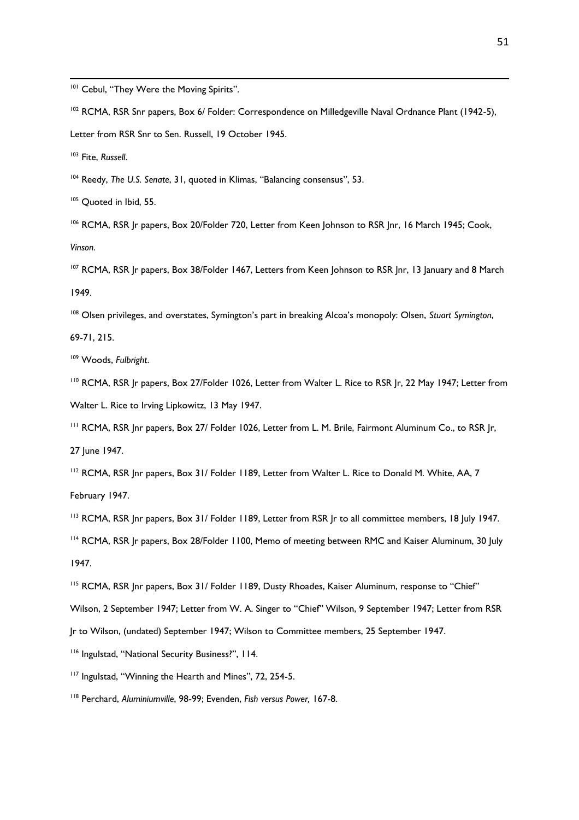i <sup>101</sup> Cebul, "They Were the Moving Spirits".

102 RCMA, RSR Snr papers, Box 6/ Folder: Correspondence on Milledgeville Naval Ordnance Plant (1942-5),

Letter from RSR Snr to Sen. Russell, 19 October 1945.

<sup>103</sup> Fite, *Russell*.

<sup>104</sup> Reedy, *The U.S. Senate*, 31, quoted in Klimas, "Balancing consensus", 53.

<sup>105</sup> Quoted in Ibid, 55.

<sup>106</sup> RCMA, RSR Ir papers, Box 20/Folder 720, Letter from Keen Johnson to RSR Inr, 16 March 1945; Cook, *Vinson.*

<sup>107</sup> RCMA, RSR Jr papers, Box 38/Folder 1467, Letters from Keen Johnson to RSR Jnr, 13 January and 8 March 1949.

<sup>108</sup> Olsen privileges, and overstates, Symington's part in breaking Alcoa's monopoly: Olsen, *Stuart Symington*,

69-71, 215.

<sup>109</sup> Woods, *Fulbright*.

<sup>110</sup> RCMA, RSR Jr papers, Box 27/Folder 1026, Letter from Walter L. Rice to RSR Jr, 22 May 1947; Letter from Walter L. Rice to Irving Lipkowitz, 13 May 1947.

<sup>111</sup> RCMA, RSR Jnr papers, Box 27/ Folder 1026, Letter from L. M. Brile, Fairmont Aluminum Co., to RSR Jr,

27 June 1947.

<sup>112</sup> RCMA, RSR Jnr papers, Box 31/ Folder 1189, Letter from Walter L. Rice to Donald M. White, AA, 7 February 1947.

<sup>113</sup> RCMA, RSR Jnr papers, Box 31/ Folder 1189, Letter from RSR Jr to all committee members, 18 July 1947.

<sup>114</sup> RCMA, RSR Jr papers, Box 28/Folder 1100, Memo of meeting between RMC and Kaiser Aluminum, 30 July 1947.

<sup>115</sup> RCMA, RSR Inr papers, Box 31/ Folder 1189, Dusty Rhoades, Kaiser Aluminum, response to "Chief"

Wilson, 2 September 1947; Letter from W. A. Singer to "Chief" Wilson, 9 September 1947; Letter from RSR

Jr to Wilson, (undated) September 1947; Wilson to Committee members, 25 September 1947.

<sup>116</sup> Ingulstad, "National Security Business?", 114.

<sup>117</sup> Ingulstad, "Winning the Hearth and Mines", 72, 254-5.

<sup>118</sup> Perchard, *Aluminiumville*, 98-99; Evenden, *Fish versus Power,* 167-8.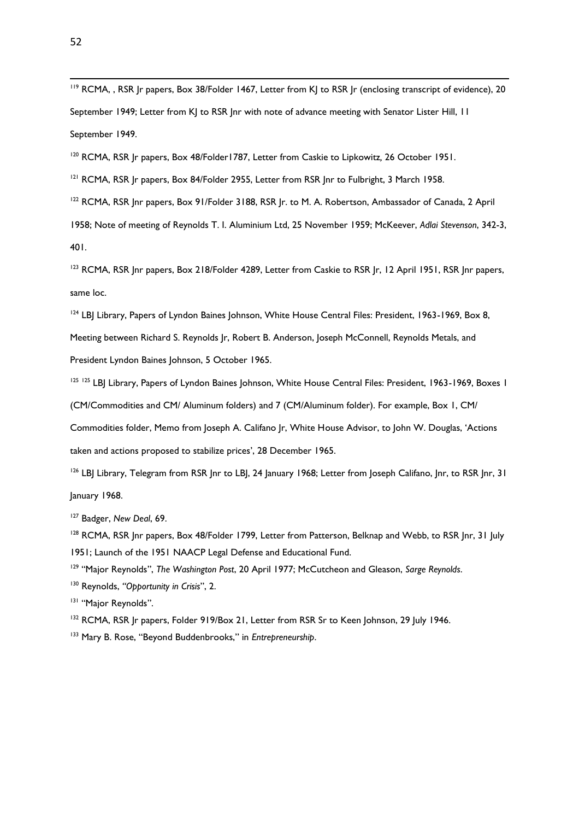i <sup>119</sup> RCMA, , RSR Jr papers, Box 38/Folder 1467, Letter from KJ to RSR Jr (enclosing transcript of evidence), 20 September 1949; Letter from KJ to RSR Jnr with note of advance meeting with Senator Lister Hill, 11 September 1949.

<sup>120</sup> RCMA, RSR Jr papers, Box 48/Folder1787, Letter from Caskie to Lipkowitz*,* 26 October 1951.

<sup>121</sup> RCMA, RSR Jr papers, Box 84/Folder 2955, Letter from RSR Jnr to Fulbright, 3 March 1958.

<sup>122</sup> RCMA, RSR Inr papers, Box 91/Folder 3188, RSR Ir. to M. A. Robertson, Ambassador of Canada, 2 April

1958; Note of meeting of Reynolds T. I. Aluminium Ltd, 25 November 1959; McKeever, *Adlai Stevenson*, 342-3, 401.

<sup>123</sup> RCMA, RSR Jnr papers, Box 218/Folder 4289, Letter from Caskie to RSR Jr, 12 April 1951, RSR Jnr papers, same loc.

<sup>124</sup> LBJ Library, Papers of Lyndon Baines Johnson, White House Central Files: President, 1963-1969, Box 8, Meeting between Richard S. Reynolds Jr, Robert B. Anderson, Joseph McConnell, Reynolds Metals, and President Lyndon Baines Johnson, 5 October 1965.

<sup>125 125</sup> LBJ Library, Papers of Lyndon Baines Johnson, White House Central Files: President, 1963-1969, Boxes 1

(CM/Commodities and CM/ Aluminum folders) and 7 (CM/Aluminum folder). For example, Box 1, CM/

Commodities folder, Memo from Joseph A. Califano Jr, White House Advisor, to John W. Douglas, 'Actions taken and actions proposed to stabilize prices', 28 December 1965.

<sup>126</sup> LBJ Library, Telegram from RSR Jnr to LBJ, 24 January 1968; Letter from Joseph Califano, Jnr, to RSR Jnr, 31 January 1968.

<sup>127</sup> Badger, *New Deal*, 69.

<sup>128</sup> RCMA, RSR Jnr papers, Box 48/Folder 1799, Letter from Patterson, Belknap and Webb, to RSR Jnr, 31 July 1951; Launch of the 1951 NAACP Legal Defense and Educational Fund.

<sup>129</sup> "Major Reynolds", *The Washington Post*, 20 April 1977; McCutcheon and Gleason, *Sarge Reynolds*.

<sup>130</sup> Reynolds, *"Opportunity in Crisis*", 2.

<sup>131</sup> "Major Reynolds".

<sup>132</sup> RCMA, RSR |r papers, Folder 919/Box 21, Letter from RSR Sr to Keen Johnson, 29 July 1946.

<sup>133</sup> Mary B. Rose, "Beyond Buddenbrooks," in *Entrepreneurship*.